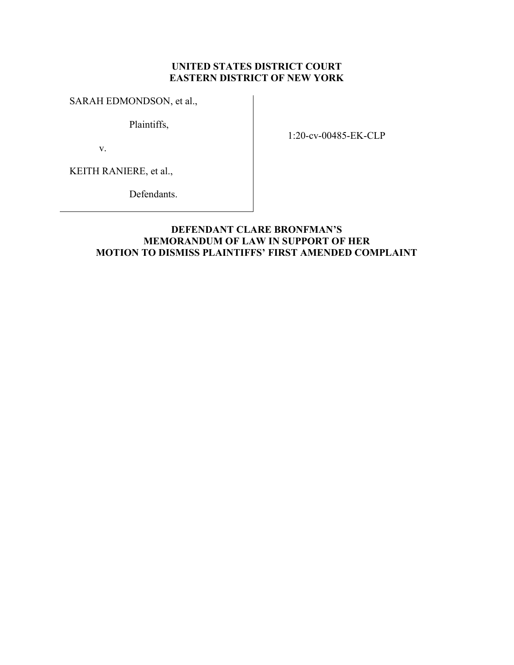## UNITED STATES DISTRICT COURT EASTERN DISTRICT OF NEW YORK

## SARAH EDMONDSON, et al.,

Plaintiffs,

v.

1:20-cv-00485-EK-CLP

KEITH RANIERE, et al.,

Defendants.

## DEFENDANT CLARE BRONFMAN'S MEMORANDUM OF LAW IN SUPPORT OF HER MOTION TO DISMISS PLAINTIFFS' FIRST AMENDED COMPLAINT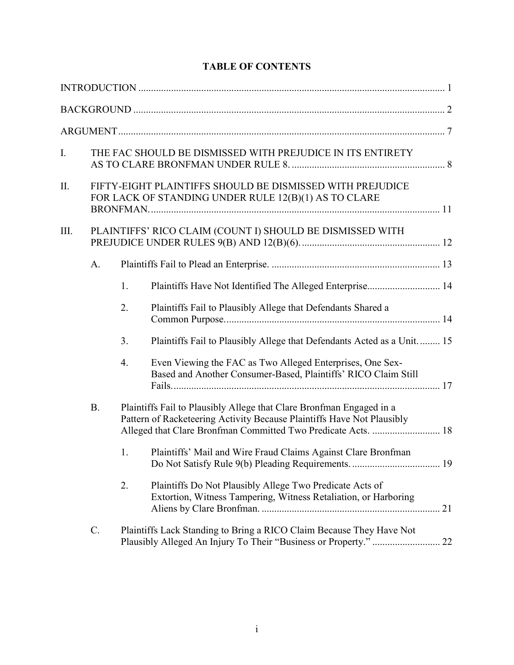| I.        | THE FAC SHOULD BE DISMISSED WITH PREJUDICE IN ITS ENTIRETY                                                        |    |                                                                                                                                                                                                                 |  |  |  |
|-----------|-------------------------------------------------------------------------------------------------------------------|----|-----------------------------------------------------------------------------------------------------------------------------------------------------------------------------------------------------------------|--|--|--|
| Π.        | FIFTY-EIGHT PLAINTIFFS SHOULD BE DISMISSED WITH PREJUDICE<br>FOR LACK OF STANDING UNDER RULE 12(B)(1) AS TO CLARE |    |                                                                                                                                                                                                                 |  |  |  |
| III.      |                                                                                                                   |    | PLAINTIFFS' RICO CLAIM (COUNT I) SHOULD BE DISMISSED WITH                                                                                                                                                       |  |  |  |
|           | A.                                                                                                                |    |                                                                                                                                                                                                                 |  |  |  |
|           |                                                                                                                   | 1. | Plaintiffs Have Not Identified The Alleged Enterprise 14                                                                                                                                                        |  |  |  |
|           |                                                                                                                   | 2. | Plaintiffs Fail to Plausibly Allege that Defendants Shared a                                                                                                                                                    |  |  |  |
|           |                                                                                                                   | 3. | Plaintiffs Fail to Plausibly Allege that Defendants Acted as a Unit 15                                                                                                                                          |  |  |  |
|           |                                                                                                                   | 4. | Even Viewing the FAC as Two Alleged Enterprises, One Sex-<br>Based and Another Consumer-Based, Plaintiffs' RICO Claim Still                                                                                     |  |  |  |
| <b>B.</b> |                                                                                                                   |    | Plaintiffs Fail to Plausibly Allege that Clare Bronfman Engaged in a<br>Pattern of Racketeering Activity Because Plaintiffs Have Not Plausibly<br>Alleged that Clare Bronfman Committed Two Predicate Acts.  18 |  |  |  |
|           |                                                                                                                   | 1. | Plaintiffs' Mail and Wire Fraud Claims Against Clare Bronfman                                                                                                                                                   |  |  |  |
|           |                                                                                                                   | 2. | Plaintiffs Do Not Plausibly Allege Two Predicate Acts of<br>Extortion, Witness Tampering, Witness Retaliation, or Harboring                                                                                     |  |  |  |
|           | C.                                                                                                                |    | Plaintiffs Lack Standing to Bring a RICO Claim Because They Have Not<br>Plausibly Alleged An Injury To Their "Business or Property."  22                                                                        |  |  |  |

# TABLE OF CONTENTS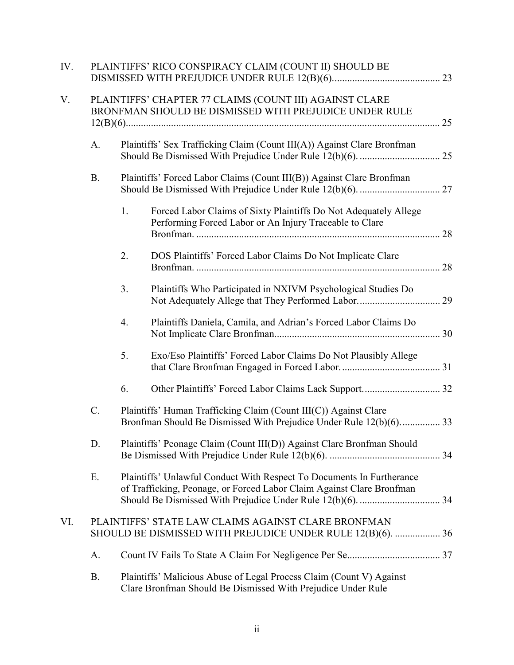| IV.                                                                                                                       |           | PLAINTIFFS' RICO CONSPIRACY CLAIM (COUNT II) SHOULD BE                                                            |                                                                                                                                                |  |  |  |  |  |
|---------------------------------------------------------------------------------------------------------------------------|-----------|-------------------------------------------------------------------------------------------------------------------|------------------------------------------------------------------------------------------------------------------------------------------------|--|--|--|--|--|
| V.                                                                                                                        |           | PLAINTIFFS' CHAPTER 77 CLAIMS (COUNT III) AGAINST CLARE<br>BRONFMAN SHOULD BE DISMISSED WITH PREJUDICE UNDER RULE |                                                                                                                                                |  |  |  |  |  |
|                                                                                                                           | A.        | Plaintiffs' Sex Trafficking Claim (Count III(A)) Against Clare Bronfman                                           |                                                                                                                                                |  |  |  |  |  |
|                                                                                                                           | <b>B.</b> |                                                                                                                   | Plaintiffs' Forced Labor Claims (Count III(B)) Against Clare Bronfman                                                                          |  |  |  |  |  |
|                                                                                                                           |           | 1.                                                                                                                | Forced Labor Claims of Sixty Plaintiffs Do Not Adequately Allege<br>Performing Forced Labor or An Injury Traceable to Clare                    |  |  |  |  |  |
|                                                                                                                           |           | 2.                                                                                                                | DOS Plaintiffs' Forced Labor Claims Do Not Implicate Clare                                                                                     |  |  |  |  |  |
|                                                                                                                           |           | 3.                                                                                                                | Plaintiffs Who Participated in NXIVM Psychological Studies Do                                                                                  |  |  |  |  |  |
|                                                                                                                           |           | 4.                                                                                                                | Plaintiffs Daniela, Camila, and Adrian's Forced Labor Claims Do                                                                                |  |  |  |  |  |
|                                                                                                                           |           | 5.                                                                                                                | Exo/Eso Plaintiffs' Forced Labor Claims Do Not Plausibly Allege                                                                                |  |  |  |  |  |
|                                                                                                                           |           | 6.                                                                                                                |                                                                                                                                                |  |  |  |  |  |
|                                                                                                                           | C.        |                                                                                                                   | Plaintiffs' Human Trafficking Claim (Count III(C)) Against Clare<br>Bronfman Should Be Dismissed With Prejudice Under Rule 12(b)(6) 33         |  |  |  |  |  |
|                                                                                                                           | D.        |                                                                                                                   | Plaintiffs' Peonage Claim (Count III(D)) Against Clare Bronfman Should                                                                         |  |  |  |  |  |
|                                                                                                                           | Ε.        |                                                                                                                   | Plaintiffs' Unlawful Conduct With Respect To Documents In Furtherance<br>of Trafficking, Peonage, or Forced Labor Claim Against Clare Bronfman |  |  |  |  |  |
| PLAINTIFFS' STATE LAW CLAIMS AGAINST CLARE BRONFMAN<br>VI.<br>SHOULD BE DISMISSED WITH PREJUDICE UNDER RULE 12(B)(6).  36 |           |                                                                                                                   |                                                                                                                                                |  |  |  |  |  |
|                                                                                                                           | A.        |                                                                                                                   |                                                                                                                                                |  |  |  |  |  |
|                                                                                                                           | <b>B.</b> |                                                                                                                   | Plaintiffs' Malicious Abuse of Legal Process Claim (Count V) Against<br>Clare Bronfman Should Be Dismissed With Prejudice Under Rule           |  |  |  |  |  |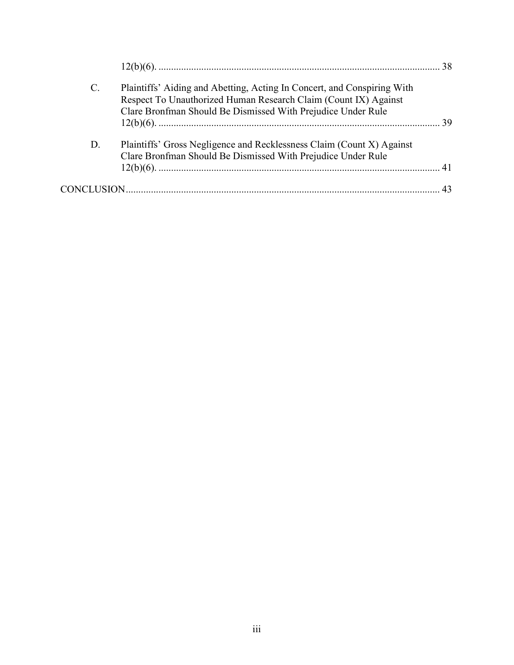| $\mathcal{C}$ . | Plaintiffs' Aiding and Abetting, Acting In Concert, and Conspiring With<br>Respect To Unauthorized Human Research Claim (Count IX) Against<br>Clare Bronfman Should Be Dismissed With Prejudice Under Rule |  |
|-----------------|------------------------------------------------------------------------------------------------------------------------------------------------------------------------------------------------------------|--|
| D.              | Plaintiffs' Gross Negligence and Recklessness Claim (Count X) Against<br>Clare Bronfman Should Be Dismissed With Prejudice Under Rule                                                                      |  |
|                 |                                                                                                                                                                                                            |  |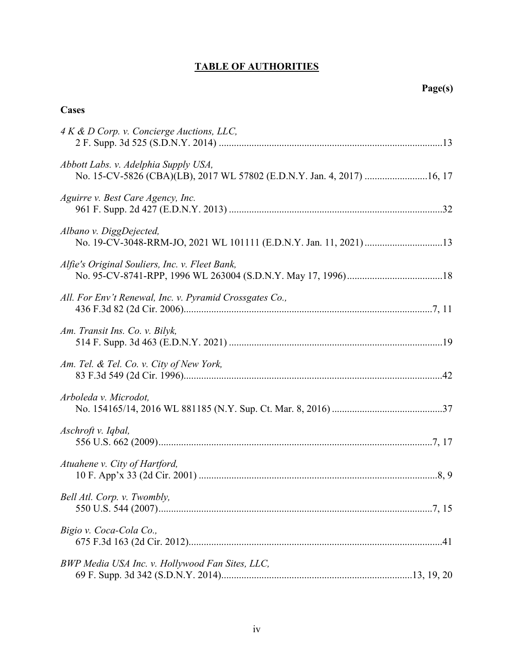# TABLE OF AUTHORITIES

# **Cases**

| 4 K & D Corp. v. Concierge Auctions, LLC,                                                                       |
|-----------------------------------------------------------------------------------------------------------------|
| Abbott Labs. v. Adelphia Supply USA,<br>No. 15-CV-5826 (CBA)(LB), 2017 WL 57802 (E.D.N.Y. Jan. 4, 2017)  16, 17 |
| Aguirre v. Best Care Agency, Inc.                                                                               |
| Albano v. DiggDejected,                                                                                         |
| Alfie's Original Souliers, Inc. v. Fleet Bank,                                                                  |
| All. For Env't Renewal, Inc. v. Pyramid Crossgates Co.,                                                         |
| Am. Transit Ins. Co. v. Bilyk,                                                                                  |
| Am. Tel. & Tel. Co. v. City of New York,                                                                        |
| Arboleda v. Microdot,                                                                                           |
| Aschroft v. Iqbal,                                                                                              |
| Atuahene v. City of Hartford,                                                                                   |
| Bell Atl. Corp. v. Twombly,                                                                                     |
| Bigio v. Coca-Cola Co.,                                                                                         |
| BWP Media USA Inc. v. Hollywood Fan Sites, LLC,                                                                 |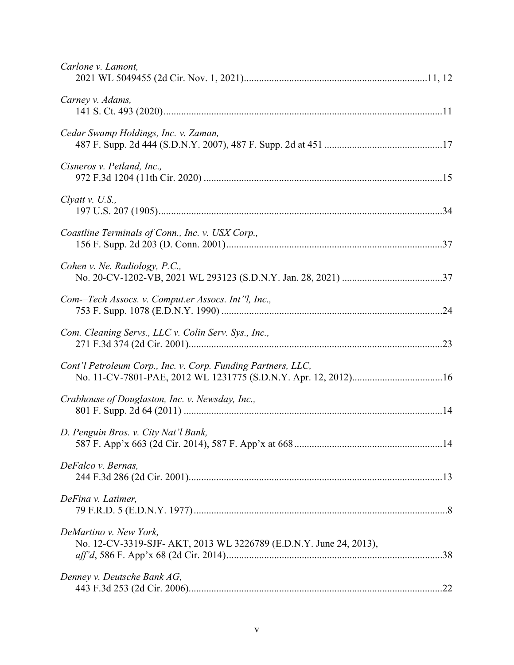| Carlone v. Lamont,                                                                           |
|----------------------------------------------------------------------------------------------|
| Carney v. Adams,                                                                             |
| Cedar Swamp Holdings, Inc. v. Zaman,                                                         |
| Cisneros v. Petland, Inc.,                                                                   |
| Clyatt v. U.S.,                                                                              |
| Coastline Terminals of Conn., Inc. v. USX Corp.,                                             |
| Cohen v. Ne. Radiology, P.C.,                                                                |
| Com--Tech Assocs. v. Comput.er Assocs. Int'l, Inc.,                                          |
| Com. Cleaning Servs., LLC v. Colin Serv. Sys., Inc.,                                         |
| Cont'l Petroleum Corp., Inc. v. Corp. Funding Partners, LLC,                                 |
| Crabhouse of Douglaston, Inc. v. Newsday, Inc.,                                              |
| D. Penguin Bros. v. City Nat'l Bank,                                                         |
| DeFalco v. Bernas,                                                                           |
| DeFina v. Latimer,                                                                           |
| DeMartino v. New York,<br>No. 12-CV-3319-SJF- AKT, 2013 WL 3226789 (E.D.N.Y. June 24, 2013), |
| Denney v. Deutsche Bank AG,                                                                  |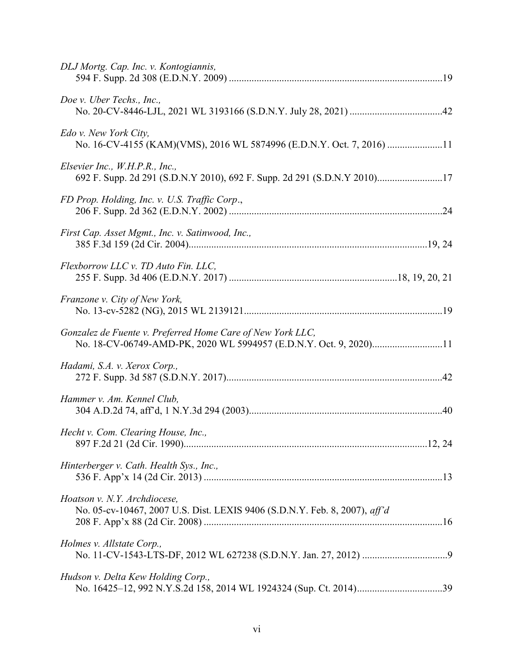| DLJ Mortg. Cap. Inc. v. Kontogiannis,                                                                                           |
|---------------------------------------------------------------------------------------------------------------------------------|
| Doe v. Uber Techs., Inc.,                                                                                                       |
| Edo v. New York City,<br>No. 16-CV-4155 (KAM)(VMS), 2016 WL 5874996 (E.D.N.Y. Oct. 7, 2016) 11                                  |
| Elsevier Inc., W.H.P.R., Inc.,<br>692 F. Supp. 2d 291 (S.D.N.Y 2010), 692 F. Supp. 2d 291 (S.D.N.Y 2010)17                      |
| FD Prop. Holding, Inc. v. U.S. Traffic Corp.,                                                                                   |
| First Cap. Asset Mgmt., Inc. v. Satinwood, Inc.,                                                                                |
| Flexborrow LLC v. TD Auto Fin. LLC,                                                                                             |
| Franzone v. City of New York,                                                                                                   |
| Gonzalez de Fuente v. Preferred Home Care of New York LLC,<br>No. 18-CV-06749-AMD-PK, 2020 WL 5994957 (E.D.N.Y. Oct. 9, 2020)11 |
| Hadami, S.A. v. Xerox Corp.,                                                                                                    |
| Hammer v. Am. Kennel Club,                                                                                                      |
| Hecht v. Com. Clearing House, Inc.,                                                                                             |
| Hinterberger v. Cath. Health Sys., Inc.,                                                                                        |
| Hoatson v. N.Y. Archdiocese,<br>No. 05-cv-10467, 2007 U.S. Dist. LEXIS 9406 (S.D.N.Y. Feb. 8, 2007), aff'd                      |
| Holmes v. Allstate Corp.,                                                                                                       |
| Hudson v. Delta Kew Holding Corp.,                                                                                              |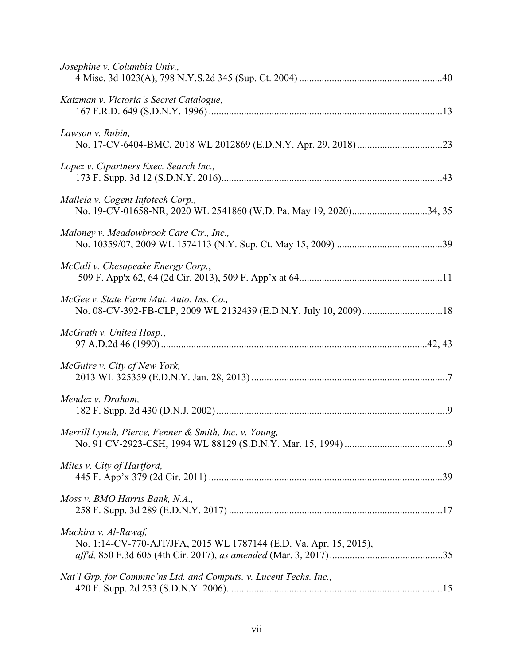| Josephine v. Columbia Univ.,                                                                           |
|--------------------------------------------------------------------------------------------------------|
| Katzman v. Victoria's Secret Catalogue,                                                                |
| Lawson v. Rubin,                                                                                       |
| Lopez v. Ctpartners Exec. Search Inc.,                                                                 |
| Mallela v. Cogent Infotech Corp.,<br>No. 19-CV-01658-NR, 2020 WL 2541860 (W.D. Pa. May 19, 2020)34, 35 |
| Maloney v. Meadowbrook Care Ctr., Inc.,                                                                |
| McCall v. Chesapeake Energy Corp.,                                                                     |
| McGee v. State Farm Mut. Auto. Ins. Co.,                                                               |
| McGrath v. United Hosp.,                                                                               |
| McGuire v. City of New York,                                                                           |
| Mendez v. Draham,                                                                                      |
| Merrill Lynch, Pierce, Fenner & Smith, Inc. v. Young,                                                  |
| Miles v. City of Hartford,                                                                             |
| Moss v. BMO Harris Bank, N.A.,                                                                         |
| Muchira v. Al-Rawaf,<br>No. 1:14-CV-770-AJT/JFA, 2015 WL 1787144 (E.D. Va. Apr. 15, 2015),             |
| Nat'l Grp. for Commnc'ns Ltd. and Computs. v. Lucent Techs. Inc.,                                      |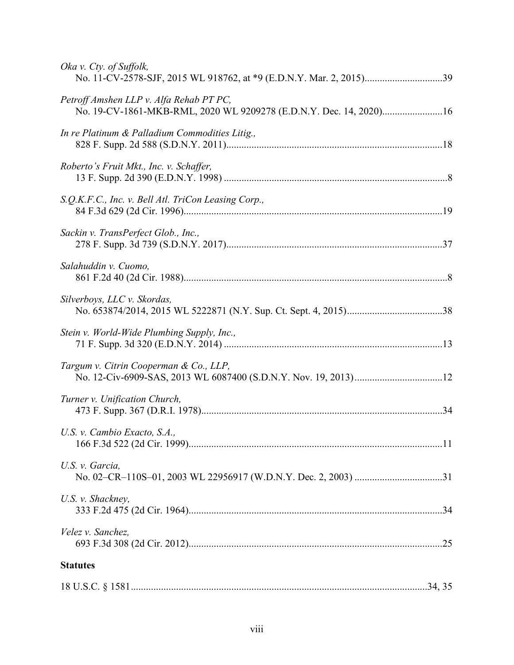| Oka v. Cty. of Suffolk,                                                                                       |
|---------------------------------------------------------------------------------------------------------------|
| Petroff Amshen LLP v. Alfa Rehab PT PC,<br>No. 19-CV-1861-MKB-RML, 2020 WL 9209278 (E.D.N.Y. Dec. 14, 2020)16 |
| In re Platinum & Palladium Commodities Litig.,                                                                |
| Roberto's Fruit Mkt., Inc. v. Schaffer,                                                                       |
| S.Q.K.F.C., Inc. v. Bell Atl. TriCon Leasing Corp.,                                                           |
| Sackin v. TransPerfect Glob., Inc.,                                                                           |
| Salahuddin v. Cuomo,                                                                                          |
| Silverboys, LLC v. Skordas,                                                                                   |
| Stein v. World-Wide Plumbing Supply, Inc.,                                                                    |
| Targum v. Citrin Cooperman & Co., LLP,                                                                        |
| Turner v. Unification Church,                                                                                 |
| U.S. v. Cambio Exacto, S.A.,                                                                                  |
| U.S. v. Garcia,                                                                                               |
| U.S. v. Shackney,                                                                                             |
| Velez v. Sanchez,                                                                                             |
| <b>Statutes</b>                                                                                               |
|                                                                                                               |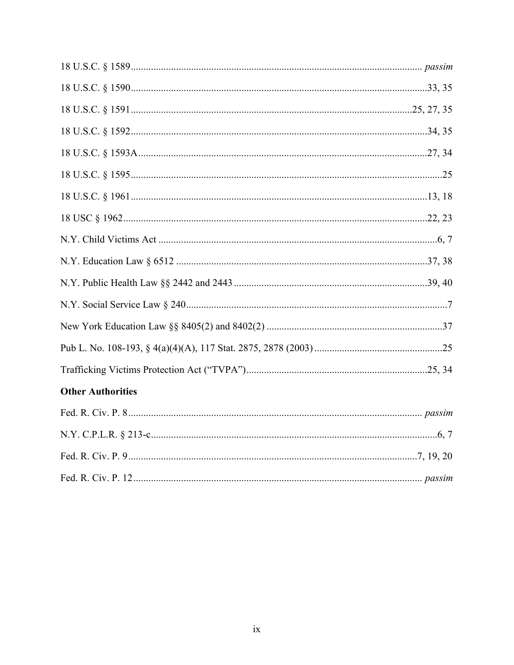| <b>Other Authorities</b> |
|--------------------------|
|                          |
|                          |
|                          |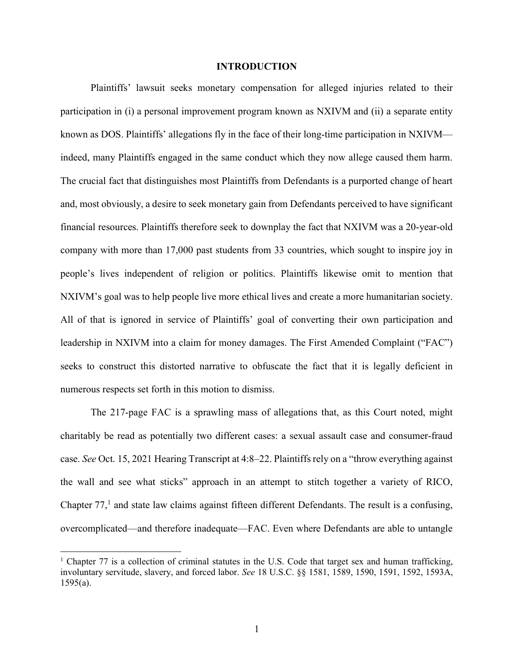#### INTRODUCTION

Plaintiffs' lawsuit seeks monetary compensation for alleged injuries related to their participation in (i) a personal improvement program known as NXIVM and (ii) a separate entity known as DOS. Plaintiffs' allegations fly in the face of their long-time participation in NXIVM indeed, many Plaintiffs engaged in the same conduct which they now allege caused them harm. The crucial fact that distinguishes most Plaintiffs from Defendants is a purported change of heart and, most obviously, a desire to seek monetary gain from Defendants perceived to have significant financial resources. Plaintiffs therefore seek to downplay the fact that NXIVM was a 20-year-old company with more than 17,000 past students from 33 countries, which sought to inspire joy in people's lives independent of religion or politics. Plaintiffs likewise omit to mention that NXIVM's goal was to help people live more ethical lives and create a more humanitarian society. All of that is ignored in service of Plaintiffs' goal of converting their own participation and leadership in NXIVM into a claim for money damages. The First Amended Complaint ("FAC") seeks to construct this distorted narrative to obfuscate the fact that it is legally deficient in numerous respects set forth in this motion to dismiss.

The 217-page FAC is a sprawling mass of allegations that, as this Court noted, might charitably be read as potentially two different cases: a sexual assault case and consumer-fraud case. See Oct. 15, 2021 Hearing Transcript at 4:8–22. Plaintiffs rely on a "throw everything against the wall and see what sticks" approach in an attempt to stitch together a variety of RICO, Chapter  $77<sup>1</sup>$  and state law claims against fifteen different Defendants. The result is a confusing, overcomplicated—and therefore inadequate—FAC. Even where Defendants are able to untangle

<sup>&</sup>lt;sup>1</sup> Chapter 77 is a collection of criminal statutes in the U.S. Code that target sex and human trafficking, involuntary servitude, slavery, and forced labor. See 18 U.S.C. §§ 1581, 1589, 1590, 1591, 1592, 1593A,  $1595(a)$ .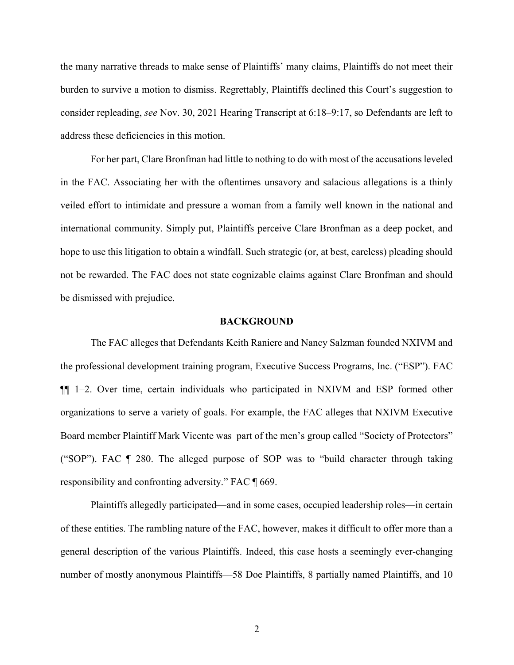the many narrative threads to make sense of Plaintiffs' many claims, Plaintiffs do not meet their burden to survive a motion to dismiss. Regrettably, Plaintiffs declined this Court's suggestion to consider repleading, see Nov. 30, 2021 Hearing Transcript at 6:18–9:17, so Defendants are left to address these deficiencies in this motion.

For her part, Clare Bronfman had little to nothing to do with most of the accusations leveled in the FAC. Associating her with the oftentimes unsavory and salacious allegations is a thinly veiled effort to intimidate and pressure a woman from a family well known in the national and international community. Simply put, Plaintiffs perceive Clare Bronfman as a deep pocket, and hope to use this litigation to obtain a windfall. Such strategic (or, at best, careless) pleading should not be rewarded. The FAC does not state cognizable claims against Clare Bronfman and should be dismissed with prejudice.

#### BACKGROUND

The FAC alleges that Defendants Keith Raniere and Nancy Salzman founded NXIVM and the professional development training program, Executive Success Programs, Inc. ("ESP"). FAC ¶¶ 1–2. Over time, certain individuals who participated in NXIVM and ESP formed other organizations to serve a variety of goals. For example, the FAC alleges that NXIVM Executive Board member Plaintiff Mark Vicente was part of the men's group called "Society of Protectors" ("SOP"). FAC ¶ 280. The alleged purpose of SOP was to "build character through taking responsibility and confronting adversity." FAC ¶ 669.

Plaintiffs allegedly participated—and in some cases, occupied leadership roles—in certain of these entities. The rambling nature of the FAC, however, makes it difficult to offer more than a general description of the various Plaintiffs. Indeed, this case hosts a seemingly ever-changing number of mostly anonymous Plaintiffs—58 Doe Plaintiffs, 8 partially named Plaintiffs, and 10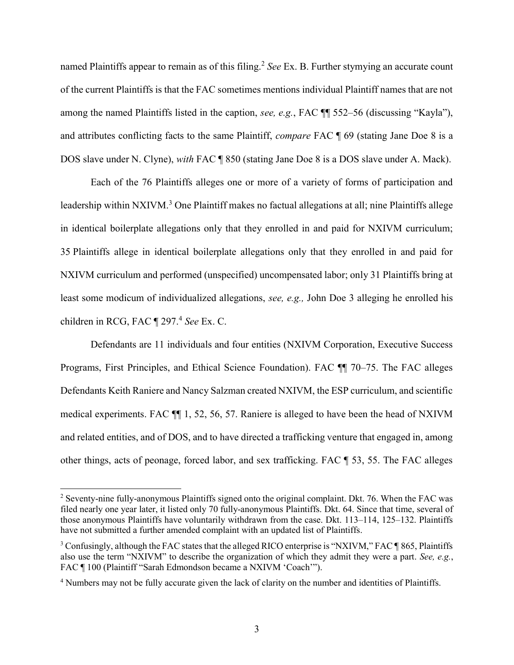named Plaintiffs appear to remain as of this filing.<sup>2</sup> See Ex. B. Further stymying an accurate count of the current Plaintiffs is that the FAC sometimes mentions individual Plaintiff names that are not among the named Plaintiffs listed in the caption, see, e.g., FAC ¶¶ 552–56 (discussing "Kayla"), and attributes conflicting facts to the same Plaintiff, compare FAC ¶ 69 (stating Jane Doe 8 is a DOS slave under N. Clyne), with FAC ¶ 850 (stating Jane Doe 8 is a DOS slave under A. Mack).

Each of the 76 Plaintiffs alleges one or more of a variety of forms of participation and leadership within NXIVM.<sup>3</sup> One Plaintiff makes no factual allegations at all; nine Plaintiffs allege in identical boilerplate allegations only that they enrolled in and paid for NXIVM curriculum; 35 Plaintiffs allege in identical boilerplate allegations only that they enrolled in and paid for NXIVM curriculum and performed (unspecified) uncompensated labor; only 31 Plaintiffs bring at least some modicum of individualized allegations, see, e.g., John Doe 3 alleging he enrolled his children in RCG, FAC  $\P$  297.<sup>4</sup> See Ex. C.

Defendants are 11 individuals and four entities (NXIVM Corporation, Executive Success Programs, First Principles, and Ethical Science Foundation). FAC ¶¶ 70–75. The FAC alleges Defendants Keith Raniere and Nancy Salzman created NXIVM, the ESP curriculum, and scientific medical experiments. FAC ¶¶ 1, 52, 56, 57. Raniere is alleged to have been the head of NXIVM and related entities, and of DOS, and to have directed a trafficking venture that engaged in, among other things, acts of peonage, forced labor, and sex trafficking. FAC ¶ 53, 55. The FAC alleges

 $2$  Seventy-nine fully-anonymous Plaintiffs signed onto the original complaint. Dkt. 76. When the FAC was filed nearly one year later, it listed only 70 fully-anonymous Plaintiffs. Dkt. 64. Since that time, several of those anonymous Plaintiffs have voluntarily withdrawn from the case. Dkt. 113–114, 125–132. Plaintiffs have not submitted a further amended complaint with an updated list of Plaintiffs.

 $3$  Confusingly, although the FAC states that the alleged RICO enterprise is "NXIVM," FAC  $\P$ 865, Plaintiffs also use the term "NXIVM" to describe the organization of which they admit they were a part. See, e.g., FAC ¶ 100 (Plaintiff "Sarah Edmondson became a NXIVM 'Coach'").

<sup>&</sup>lt;sup>4</sup> Numbers may not be fully accurate given the lack of clarity on the number and identities of Plaintiffs.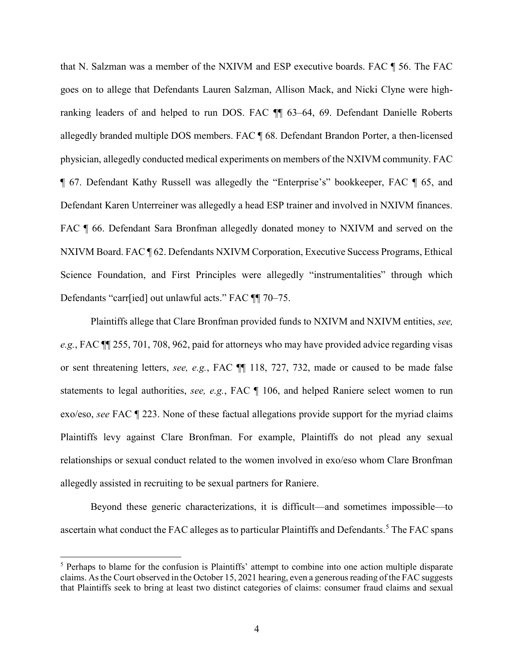that N. Salzman was a member of the NXIVM and ESP executive boards. FAC ¶ 56. The FAC goes on to allege that Defendants Lauren Salzman, Allison Mack, and Nicki Clyne were highranking leaders of and helped to run DOS. FAC ¶¶ 63–64, 69. Defendant Danielle Roberts allegedly branded multiple DOS members. FAC ¶ 68. Defendant Brandon Porter, a then-licensed physician, allegedly conducted medical experiments on members of the NXIVM community. FAC ¶ 67. Defendant Kathy Russell was allegedly the "Enterprise's" bookkeeper, FAC ¶ 65, and Defendant Karen Unterreiner was allegedly a head ESP trainer and involved in NXIVM finances. FAC  $\P$  66. Defendant Sara Bronfman allegedly donated money to NXIVM and served on the NXIVM Board. FAC ¶ 62. Defendants NXIVM Corporation, Executive Success Programs, Ethical Science Foundation, and First Principles were allegedly "instrumentalities" through which Defendants "carr[ied] out unlawful acts." FAC ¶¶ 70–75.

Plaintiffs allege that Clare Bronfman provided funds to NXIVM and NXIVM entities, see, e.g., FAC ¶¶ 255, 701, 708, 962, paid for attorneys who may have provided advice regarding visas or sent threatening letters, see, e.g., FAC ¶¶ 118, 727, 732, made or caused to be made false statements to legal authorities, see, e.g., FAC ¶ 106, and helped Raniere select women to run exo/eso, see FAC ¶ 223. None of these factual allegations provide support for the myriad claims Plaintiffs levy against Clare Bronfman. For example, Plaintiffs do not plead any sexual relationships or sexual conduct related to the women involved in exo/eso whom Clare Bronfman allegedly assisted in recruiting to be sexual partners for Raniere.

Beyond these generic characterizations, it is difficult—and sometimes impossible—to ascertain what conduct the FAC alleges as to particular Plaintiffs and Defendants.<sup>5</sup> The FAC spans

<sup>&</sup>lt;sup>5</sup> Perhaps to blame for the confusion is Plaintiffs' attempt to combine into one action multiple disparate claims. As the Court observed in the October 15, 2021 hearing, even a generous reading of the FAC suggests that Plaintiffs seek to bring at least two distinct categories of claims: consumer fraud claims and sexual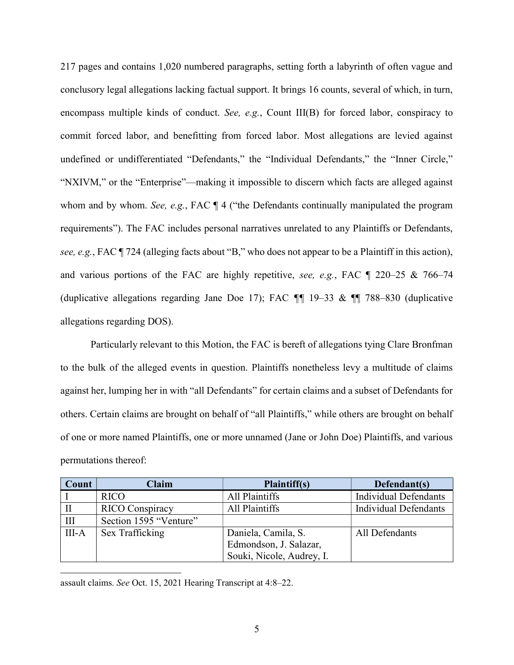217 pages and contains 1,020 numbered paragraphs, setting forth a labyrinth of often vague and conclusory legal allegations lacking factual support. It brings 16 counts, several of which, in turn, encompass multiple kinds of conduct. See, e.g., Count III(B) for forced labor, conspiracy to commit forced labor, and benefitting from forced labor. Most allegations are levied against undefined or undifferentiated "Defendants," the "Individual Defendants," the "Inner Circle," "NXIVM," or the "Enterprise"—making it impossible to discern which facts are alleged against whom and by whom. See, e.g., FAC  $\P$  4 ("the Defendants continually manipulated the program requirements"). The FAC includes personal narratives unrelated to any Plaintiffs or Defendants, see, e.g., FAC ¶ 724 (alleging facts about "B," who does not appear to be a Plaintiff in this action), and various portions of the FAC are highly repetitive, see, e.g., FAC ¶ 220–25 & 766–74 (duplicative allegations regarding Jane Doe 17); FAC ¶¶ 19–33 & ¶¶ 788–830 (duplicative allegations regarding DOS).

Particularly relevant to this Motion, the FAC is bereft of allegations tying Clare Bronfman to the bulk of the alleged events in question. Plaintiffs nonetheless levy a multitude of claims against her, lumping her in with "all Defendants" for certain claims and a subset of Defendants for others. Certain claims are brought on behalf of "all Plaintiffs," while others are brought on behalf of one or more named Plaintiffs, one or more unnamed (Jane or John Doe) Plaintiffs, and various permutations thereof:

| Count | Claim                  | Plaintiff(s)              | Defendant(s)                 |
|-------|------------------------|---------------------------|------------------------------|
|       | <b>RICO</b>            | All Plaintiffs            | <b>Individual Defendants</b> |
|       | <b>RICO</b> Conspiracy | All Plaintiffs            | <b>Individual Defendants</b> |
| Ш     | Section 1595 "Venture" |                           |                              |
| III-A | Sex Trafficking        | Daniela, Camila, S.       | All Defendants               |
|       |                        | Edmondson, J. Salazar,    |                              |
|       |                        | Souki, Nicole, Audrey, I. |                              |

assault claims. See Oct. 15, 2021 Hearing Transcript at 4:8–22.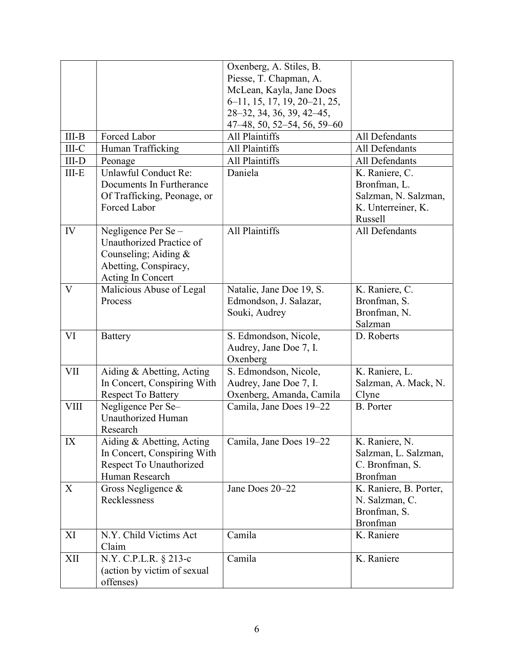|             |                             | Oxenberg, A. Stiles, B.       |                        |
|-------------|-----------------------------|-------------------------------|------------------------|
|             |                             | Piesse, T. Chapman, A.        |                        |
|             |                             | McLean, Kayla, Jane Does      |                        |
|             |                             | 6–11, 15, 17, 19, 20–21, 25,  |                        |
|             |                             | 28-32, 34, 36, 39, 42-45,     |                        |
|             |                             | $47-48, 50, 52-54, 56, 59-60$ |                        |
| $III-B$     | Forced Labor                | All Plaintiffs                | All Defendants         |
| $III-C$     | Human Trafficking           | All Plaintiffs                | All Defendants         |
| $III-D$     |                             | All Plaintiffs                | All Defendants         |
|             | Peonage                     |                               |                        |
| $III-E$     | Unlawful Conduct Re:        | Daniela                       | K. Raniere, C.         |
|             | Documents In Furtherance    |                               | Bronfman, L.           |
|             | Of Trafficking, Peonage, or |                               | Salzman, N. Salzman,   |
|             | Forced Labor                |                               | K. Unterreiner, K.     |
|             |                             |                               | Russell                |
| IV          | Negligence Per Se-          | All Plaintiffs                | All Defendants         |
|             | Unauthorized Practice of    |                               |                        |
|             | Counseling; Aiding $&$      |                               |                        |
|             | Abetting, Conspiracy,       |                               |                        |
|             | Acting In Concert           |                               |                        |
| V           | Malicious Abuse of Legal    | Natalie, Jane Doe 19, S.      | K. Raniere, C.         |
|             | Process                     | Edmondson, J. Salazar,        | Bronfman, S.           |
|             |                             | Souki, Audrey                 | Bronfman, N.           |
|             |                             |                               | Salzman                |
| VI          | <b>Battery</b>              | S. Edmondson, Nicole,         | D. Roberts             |
|             |                             | Audrey, Jane Doe 7, I.        |                        |
|             |                             | Oxenberg                      |                        |
| <b>VII</b>  | Aiding & Abetting, Acting   | S. Edmondson, Nicole,         | K. Raniere, L.         |
|             | In Concert, Conspiring With | Audrey, Jane Doe 7, I.        | Salzman, A. Mack, N.   |
|             | <b>Respect To Battery</b>   | Oxenberg, Amanda, Camila      | Clyne                  |
| <b>VIII</b> | Negligence Per Se-          | Camila, Jane Does 19-22       | <b>B.</b> Porter       |
|             | Unauthorized Human          |                               |                        |
|             | Research                    |                               |                        |
| IX          | Aiding & Abetting, Acting   | Camila, Jane Does 19–22       | K. Raniere, N.         |
|             | In Concert, Conspiring With |                               | Salzman, L. Salzman,   |
|             | Respect To Unauthorized     |                               | C. Bronfman, S.        |
|             | Human Research              |                               | Bronfman               |
|             |                             | Jane Does 20–22               |                        |
| X           | Gross Negligence &          |                               | K. Raniere, B. Porter, |
|             | Recklessness                |                               | N. Salzman, C.         |
|             |                             |                               | Bronfman, S.           |
|             |                             |                               | Bronfman               |
| XI          | N.Y. Child Victims Act      | Camila                        | K. Raniere             |
|             | Claim                       |                               |                        |
| XII         | N.Y. C.P.L.R. § 213-c       | Camila                        | K. Raniere             |
|             | (action by victim of sexual |                               |                        |
|             | offenses)                   |                               |                        |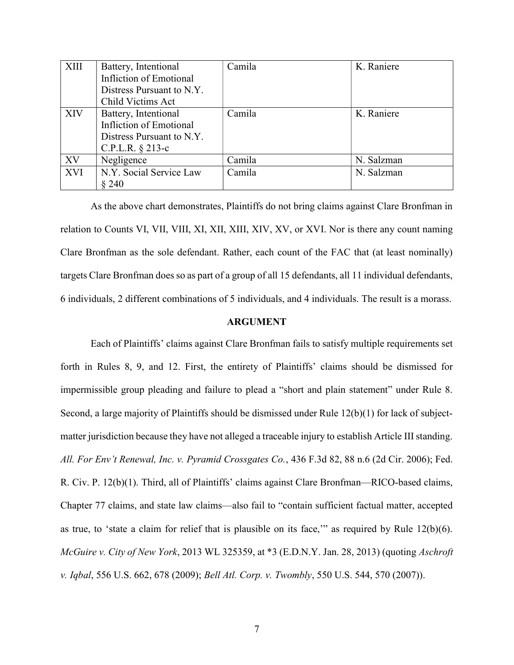| <b>XIII</b> | Battery, Intentional      | Camila | K. Raniere |
|-------------|---------------------------|--------|------------|
|             | Infliction of Emotional   |        |            |
|             | Distress Pursuant to N.Y. |        |            |
|             | Child Victims Act         |        |            |
| <b>XIV</b>  | Battery, Intentional      | Camila | K. Raniere |
|             | Infliction of Emotional   |        |            |
|             | Distress Pursuant to N.Y. |        |            |
|             | C.P.L.R. § 213-c          |        |            |
| XV          | Negligence                | Camila | N. Salzman |
| <b>XVI</b>  | N.Y. Social Service Law   | Camila | N. Salzman |
|             | § 240                     |        |            |

As the above chart demonstrates, Plaintiffs do not bring claims against Clare Bronfman in relation to Counts VI, VII, VIII, XI, XII, XIII, XIV, XV, or XVI. Nor is there any count naming Clare Bronfman as the sole defendant. Rather, each count of the FAC that (at least nominally) targets Clare Bronfman does so as part of a group of all 15 defendants, all 11 individual defendants, 6 individuals, 2 different combinations of 5 individuals, and 4 individuals. The result is a morass.

#### ARGUMENT

Each of Plaintiffs' claims against Clare Bronfman fails to satisfy multiple requirements set forth in Rules 8, 9, and 12. First, the entirety of Plaintiffs' claims should be dismissed for impermissible group pleading and failure to plead a "short and plain statement" under Rule 8. Second, a large majority of Plaintiffs should be dismissed under Rule 12(b)(1) for lack of subjectmatter jurisdiction because they have not alleged a traceable injury to establish Article III standing. All. For Env't Renewal, Inc. v. Pyramid Crossgates Co., 436 F.3d 82, 88 n.6 (2d Cir. 2006); Fed. R. Civ. P. 12(b)(1). Third, all of Plaintiffs' claims against Clare Bronfman—RICO-based claims, Chapter 77 claims, and state law claims—also fail to "contain sufficient factual matter, accepted as true, to 'state a claim for relief that is plausible on its face," as required by Rule  $12(b)(6)$ . McGuire v. City of New York, 2013 WL 325359, at \*3 (E.D.N.Y. Jan. 28, 2013) (quoting Aschroft v. Iqbal, 556 U.S. 662, 678 (2009); Bell Atl. Corp. v. Twombly, 550 U.S. 544, 570 (2007)).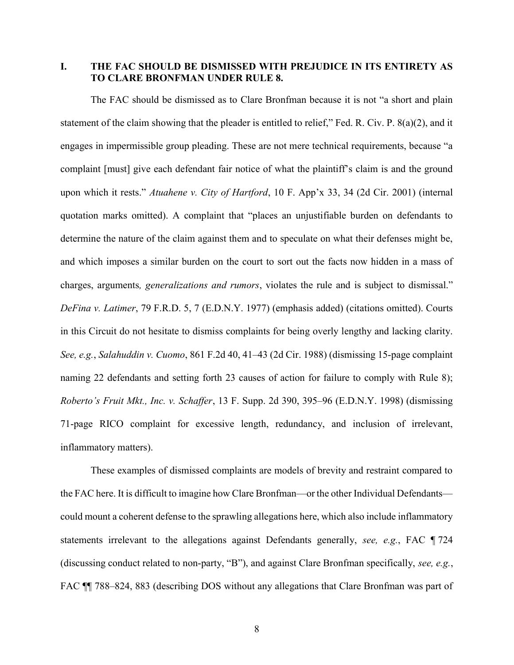I. THE FAC SHOULD BE DISMISSED WITH PREJUDICE IN ITS ENTIRETY AS TO CLARE BRONFMAN UNDER RULE 8.

The FAC should be dismissed as to Clare Bronfman because it is not "a short and plain statement of the claim showing that the pleader is entitled to relief," Fed. R. Civ. P. 8(a)(2), and it engages in impermissible group pleading. These are not mere technical requirements, because "a complaint [must] give each defendant fair notice of what the plaintiff's claim is and the ground upon which it rests." Atuahene v. City of Hartford, 10 F. App'x 33, 34 (2d Cir. 2001) (internal quotation marks omitted). A complaint that "places an unjustifiable burden on defendants to determine the nature of the claim against them and to speculate on what their defenses might be, and which imposes a similar burden on the court to sort out the facts now hidden in a mass of charges, arguments, generalizations and rumors, violates the rule and is subject to dismissal." DeFina v. Latimer, 79 F.R.D. 5, 7 (E.D.N.Y. 1977) (emphasis added) (citations omitted). Courts in this Circuit do not hesitate to dismiss complaints for being overly lengthy and lacking clarity. See, e.g., Salahuddin v. Cuomo, 861 F.2d 40, 41–43 (2d Cir. 1988) (dismissing 15-page complaint naming 22 defendants and setting forth 23 causes of action for failure to comply with Rule 8); Roberto's Fruit Mkt., Inc. v. Schaffer, 13 F. Supp. 2d 390, 395–96 (E.D.N.Y. 1998) (dismissing 71-page RICO complaint for excessive length, redundancy, and inclusion of irrelevant, inflammatory matters).

These examples of dismissed complaints are models of brevity and restraint compared to the FAC here. It is difficult to imagine how Clare Bronfman—or the other Individual Defendants could mount a coherent defense to the sprawling allegations here, which also include inflammatory statements irrelevant to the allegations against Defendants generally, see, e.g., FAC ¶ 724 (discussing conduct related to non-party, "B"), and against Clare Bronfman specifically, see, e.g., FAC  $\P$  788–824, 883 (describing DOS without any allegations that Clare Bronfman was part of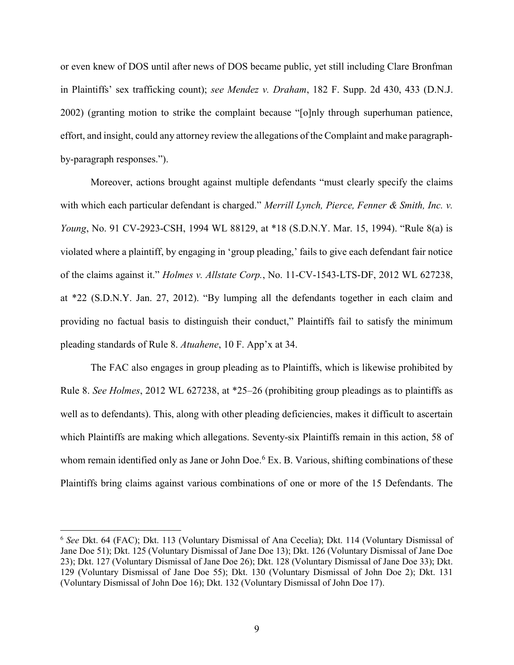or even knew of DOS until after news of DOS became public, yet still including Clare Bronfman in Plaintiffs' sex trafficking count); see Mendez v. Draham, 182 F. Supp. 2d 430, 433 (D.N.J. 2002) (granting motion to strike the complaint because "[o]nly through superhuman patience, effort, and insight, could any attorney review the allegations of the Complaint and make paragraphby-paragraph responses.").

Moreover, actions brought against multiple defendants "must clearly specify the claims with which each particular defendant is charged." Merrill Lynch, Pierce, Fenner & Smith, Inc. v. Young, No. 91 CV-2923-CSH, 1994 WL 88129, at \*18 (S.D.N.Y. Mar. 15, 1994). "Rule 8(a) is violated where a plaintiff, by engaging in 'group pleading,' fails to give each defendant fair notice of the claims against it." Holmes v. Allstate Corp., No. 11-CV-1543-LTS-DF, 2012 WL 627238, at \*22 (S.D.N.Y. Jan. 27, 2012). "By lumping all the defendants together in each claim and providing no factual basis to distinguish their conduct," Plaintiffs fail to satisfy the minimum pleading standards of Rule 8. Atuahene, 10 F. App'x at 34.

The FAC also engages in group pleading as to Plaintiffs, which is likewise prohibited by Rule 8. See Holmes, 2012 WL 627238, at \*25–26 (prohibiting group pleadings as to plaintiffs as well as to defendants). This, along with other pleading deficiencies, makes it difficult to ascertain which Plaintiffs are making which allegations. Seventy-six Plaintiffs remain in this action, 58 of whom remain identified only as Jane or John Doe.<sup>6</sup> Ex. B. Various, shifting combinations of these Plaintiffs bring claims against various combinations of one or more of the 15 Defendants. The

<sup>&</sup>lt;sup>6</sup> See Dkt. 64 (FAC); Dkt. 113 (Voluntary Dismissal of Ana Cecelia); Dkt. 114 (Voluntary Dismissal of Jane Doe 51); Dkt. 125 (Voluntary Dismissal of Jane Doe 13); Dkt. 126 (Voluntary Dismissal of Jane Doe 23); Dkt. 127 (Voluntary Dismissal of Jane Doe 26); Dkt. 128 (Voluntary Dismissal of Jane Doe 33); Dkt. 129 (Voluntary Dismissal of Jane Doe 55); Dkt. 130 (Voluntary Dismissal of John Doe 2); Dkt. 131 (Voluntary Dismissal of John Doe 16); Dkt. 132 (Voluntary Dismissal of John Doe 17).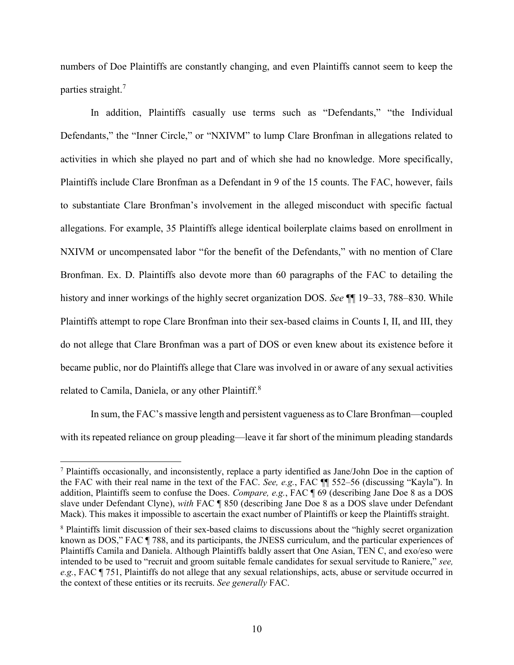numbers of Doe Plaintiffs are constantly changing, and even Plaintiffs cannot seem to keep the parties straight.<sup>7</sup>

In addition, Plaintiffs casually use terms such as "Defendants," "the Individual Defendants," the "Inner Circle," or "NXIVM" to lump Clare Bronfman in allegations related to activities in which she played no part and of which she had no knowledge. More specifically, Plaintiffs include Clare Bronfman as a Defendant in 9 of the 15 counts. The FAC, however, fails to substantiate Clare Bronfman's involvement in the alleged misconduct with specific factual allegations. For example, 35 Plaintiffs allege identical boilerplate claims based on enrollment in NXIVM or uncompensated labor "for the benefit of the Defendants," with no mention of Clare Bronfman. Ex. D. Plaintiffs also devote more than 60 paragraphs of the FAC to detailing the history and inner workings of the highly secret organization DOS. See  $\P$  19–33, 788–830. While Plaintiffs attempt to rope Clare Bronfman into their sex-based claims in Counts I, II, and III, they do not allege that Clare Bronfman was a part of DOS or even knew about its existence before it became public, nor do Plaintiffs allege that Clare was involved in or aware of any sexual activities related to Camila, Daniela, or any other Plaintiff.<sup>8</sup>

In sum, the FAC's massive length and persistent vagueness as to Clare Bronfman—coupled with its repeated reliance on group pleading—leave it far short of the minimum pleading standards

<sup>&</sup>lt;sup>7</sup> Plaintiffs occasionally, and inconsistently, replace a party identified as Jane/John Doe in the caption of the FAC with their real name in the text of the FAC. See, e.g., FAC ¶¶ 552–56 (discussing "Kayla"). In addition, Plaintiffs seem to confuse the Does. Compare, e.g., FAC ¶ 69 (describing Jane Doe 8 as a DOS slave under Defendant Clyne), with FAC ¶ 850 (describing Jane Doe 8 as a DOS slave under Defendant Mack). This makes it impossible to ascertain the exact number of Plaintiffs or keep the Plaintiffs straight.

<sup>&</sup>lt;sup>8</sup> Plaintiffs limit discussion of their sex-based claims to discussions about the "highly secret organization known as DOS," FAC ¶ 788, and its participants, the JNESS curriculum, and the particular experiences of Plaintiffs Camila and Daniela. Although Plaintiffs baldly assert that One Asian, TEN C, and exo/eso were intended to be used to "recruit and groom suitable female candidates for sexual servitude to Raniere," see, e.g., FAC ¶ 751, Plaintiffs do not allege that any sexual relationships, acts, abuse or servitude occurred in the context of these entities or its recruits. See generally FAC.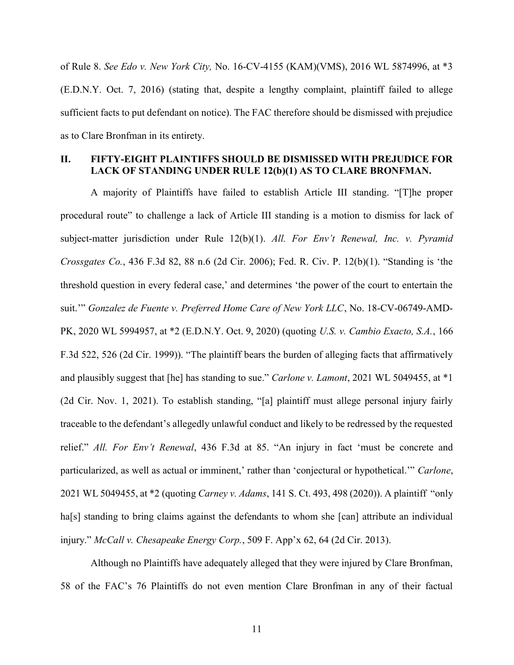of Rule 8. See Edo v. New York City, No. 16-CV-4155 (KAM)(VMS), 2016 WL 5874996, at \*3 (E.D.N.Y. Oct. 7, 2016) (stating that, despite a lengthy complaint, plaintiff failed to allege sufficient facts to put defendant on notice). The FAC therefore should be dismissed with prejudice as to Clare Bronfman in its entirety.

### II. FIFTY-EIGHT PLAINTIFFS SHOULD BE DISMISSED WITH PREJUDICE FOR LACK OF STANDING UNDER RULE 12(b)(1) AS TO CLARE BRONFMAN.

A majority of Plaintiffs have failed to establish Article III standing. "[T]he proper procedural route" to challenge a lack of Article III standing is a motion to dismiss for lack of subject-matter jurisdiction under Rule  $12(b)(1)$ . All. For Env't Renewal, Inc. v. Pyramid Crossgates Co., 436 F.3d 82, 88 n.6 (2d Cir. 2006); Fed. R. Civ. P. 12(b)(1). "Standing is 'the threshold question in every federal case,' and determines 'the power of the court to entertain the suit.'" Gonzalez de Fuente v. Preferred Home Care of New York LLC, No. 18-CV-06749-AMD-PK, 2020 WL 5994957, at \*2 (E.D.N.Y. Oct. 9, 2020) (quoting U.S. v. Cambio Exacto, S.A., 166 F.3d 522, 526 (2d Cir. 1999)). "The plaintiff bears the burden of alleging facts that affirmatively and plausibly suggest that [he] has standing to sue." Carlone v. Lamont, 2021 WL 5049455, at \*1 (2d Cir. Nov. 1, 2021). To establish standing, "[a] plaintiff must allege personal injury fairly traceable to the defendant's allegedly unlawful conduct and likely to be redressed by the requested relief." All. For Env't Renewal, 436 F.3d at 85. "An injury in fact 'must be concrete and particularized, as well as actual or imminent,' rather than 'conjectural or hypothetical.'" Carlone, 2021 WL 5049455, at \*2 (quoting Carney v. Adams, 141 S. Ct. 493, 498 (2020)). A plaintiff "only ha[s] standing to bring claims against the defendants to whom she [can] attribute an individual injury." McCall v. Chesapeake Energy Corp., 509 F. App'x 62, 64 (2d Cir. 2013).

Although no Plaintiffs have adequately alleged that they were injured by Clare Bronfman, 58 of the FAC's 76 Plaintiffs do not even mention Clare Bronfman in any of their factual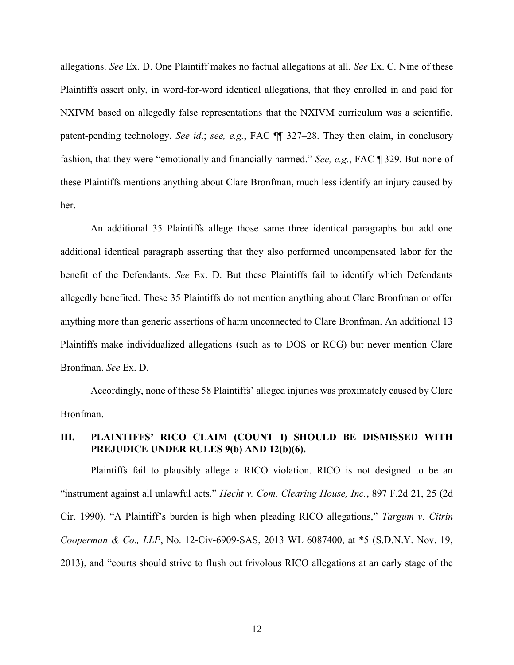allegations. See Ex. D. One Plaintiff makes no factual allegations at all. See Ex. C. Nine of these Plaintiffs assert only, in word-for-word identical allegations, that they enrolled in and paid for NXIVM based on allegedly false representations that the NXIVM curriculum was a scientific, patent-pending technology. See id.; see, e.g., FAC  $\P$  327–28. They then claim, in conclusory fashion, that they were "emotionally and financially harmed." See, e.g., FAC ¶ 329. But none of these Plaintiffs mentions anything about Clare Bronfman, much less identify an injury caused by her.

An additional 35 Plaintiffs allege those same three identical paragraphs but add one additional identical paragraph asserting that they also performed uncompensated labor for the benefit of the Defendants. See Ex. D. But these Plaintiffs fail to identify which Defendants allegedly benefited. These 35 Plaintiffs do not mention anything about Clare Bronfman or offer anything more than generic assertions of harm unconnected to Clare Bronfman. An additional 13 Plaintiffs make individualized allegations (such as to DOS or RCG) but never mention Clare Bronfman. See Ex. D.

Accordingly, none of these 58 Plaintiffs' alleged injuries was proximately caused by Clare Bronfman.

## III. PLAINTIFFS' RICO CLAIM (COUNT I) SHOULD BE DISMISSED WITH PREJUDICE UNDER RULES 9(b) AND 12(b)(6).

Plaintiffs fail to plausibly allege a RICO violation. RICO is not designed to be an "instrument against all unlawful acts." Hecht v. Com. Clearing House, Inc., 897 F.2d 21, 25 (2d Cir. 1990). "A Plaintiff's burden is high when pleading RICO allegations," Targum v. Citrin Cooperman & Co., LLP, No. 12-Civ-6909-SAS, 2013 WL 6087400, at \*5 (S.D.N.Y. Nov. 19, 2013), and "courts should strive to flush out frivolous RICO allegations at an early stage of the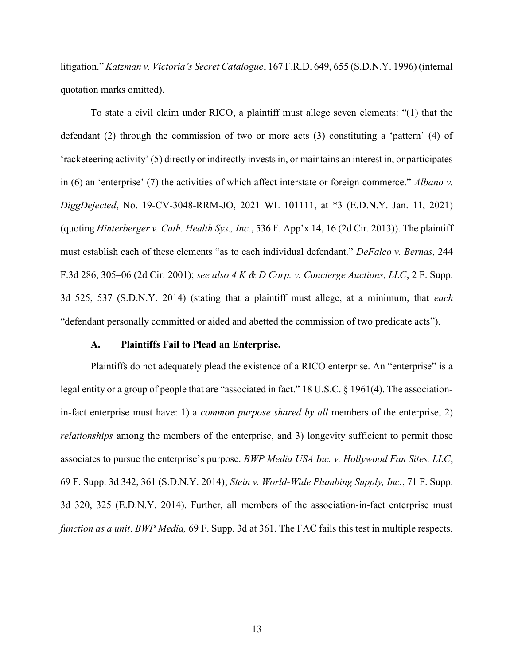litigation." Katzman v. Victoria's Secret Catalogue, 167 F.R.D. 649, 655 (S.D.N.Y. 1996) (internal quotation marks omitted).

To state a civil claim under RICO, a plaintiff must allege seven elements: "(1) that the defendant (2) through the commission of two or more acts (3) constituting a 'pattern' (4) of 'racketeering activity' (5) directly or indirectly invests in, or maintains an interest in, or participates in (6) an 'enterprise' (7) the activities of which affect interstate or foreign commerce." Albano v. DiggDejected, No. 19-CV-3048-RRM-JO, 2021 WL 101111, at \*3 (E.D.N.Y. Jan. 11, 2021) (quoting Hinterberger v. Cath. Health Sys., Inc., 536 F. App'x 14, 16 (2d Cir. 2013)). The plaintiff must establish each of these elements "as to each individual defendant." DeFalco v. Bernas, 244 F.3d 286, 305–06 (2d Cir. 2001); see also 4 K & D Corp. v. Concierge Auctions, LLC, 2 F. Supp. 3d 525, 537 (S.D.N.Y. 2014) (stating that a plaintiff must allege, at a minimum, that each "defendant personally committed or aided and abetted the commission of two predicate acts").

#### A. Plaintiffs Fail to Plead an Enterprise.

Plaintiffs do not adequately plead the existence of a RICO enterprise. An "enterprise" is a legal entity or a group of people that are "associated in fact." 18 U.S.C. § 1961(4). The associationin-fact enterprise must have: 1) a *common purpose shared by all* members of the enterprise, 2) relationships among the members of the enterprise, and 3) longevity sufficient to permit those associates to pursue the enterprise's purpose. BWP Media USA Inc. v. Hollywood Fan Sites, LLC, 69 F. Supp. 3d 342, 361 (S.D.N.Y. 2014); Stein v. World-Wide Plumbing Supply, Inc., 71 F. Supp. 3d 320, 325 (E.D.N.Y. 2014). Further, all members of the association-in-fact enterprise must function as a unit. BWP Media, 69 F. Supp. 3d at 361. The FAC fails this test in multiple respects.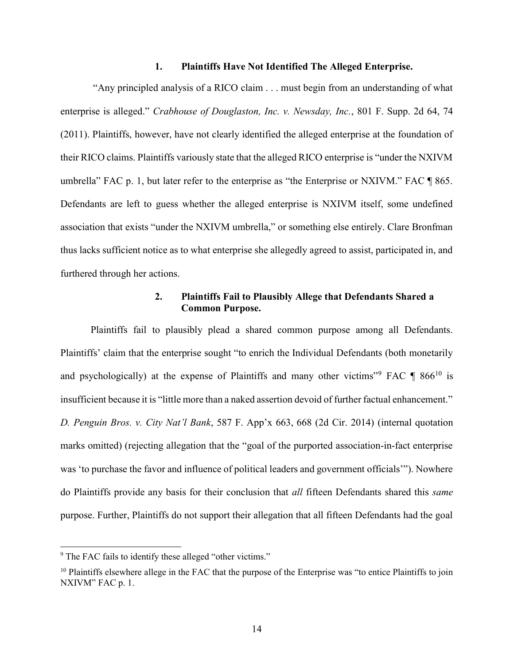#### 1. Plaintiffs Have Not Identified The Alleged Enterprise.

 "Any principled analysis of a RICO claim . . . must begin from an understanding of what enterprise is alleged." Crabhouse of Douglaston, Inc. v. Newsday, Inc., 801 F. Supp. 2d 64, 74 (2011). Plaintiffs, however, have not clearly identified the alleged enterprise at the foundation of their RICO claims. Plaintiffs variously state that the alleged RICO enterprise is "under the NXIVM umbrella" FAC p. 1, but later refer to the enterprise as "the Enterprise or NXIVM." FAC ¶ 865. Defendants are left to guess whether the alleged enterprise is NXIVM itself, some undefined association that exists "under the NXIVM umbrella," or something else entirely. Clare Bronfman thus lacks sufficient notice as to what enterprise she allegedly agreed to assist, participated in, and furthered through her actions.

## 2. Plaintiffs Fail to Plausibly Allege that Defendants Shared a Common Purpose.

Plaintiffs fail to plausibly plead a shared common purpose among all Defendants. Plaintiffs' claim that the enterprise sought "to enrich the Individual Defendants (both monetarily and psychologically) at the expense of Plaintiffs and many other victims"<sup>9</sup> FAC  $\P$  866<sup>10</sup> is insufficient because it is "little more than a naked assertion devoid of further factual enhancement." D. Penguin Bros. v. City Nat'l Bank, 587 F. App'x 663, 668 (2d Cir. 2014) (internal quotation marks omitted) (rejecting allegation that the "goal of the purported association-in-fact enterprise was 'to purchase the favor and influence of political leaders and government officials'"). Nowhere do Plaintiffs provide any basis for their conclusion that *all* fifteen Defendants shared this *same* purpose. Further, Plaintiffs do not support their allegation that all fifteen Defendants had the goal

<sup>&</sup>lt;sup>9</sup> The FAC fails to identify these alleged "other victims."

<sup>&</sup>lt;sup>10</sup> Plaintiffs elsewhere allege in the FAC that the purpose of the Enterprise was "to entice Plaintiffs to join NXIVM" FAC p. 1.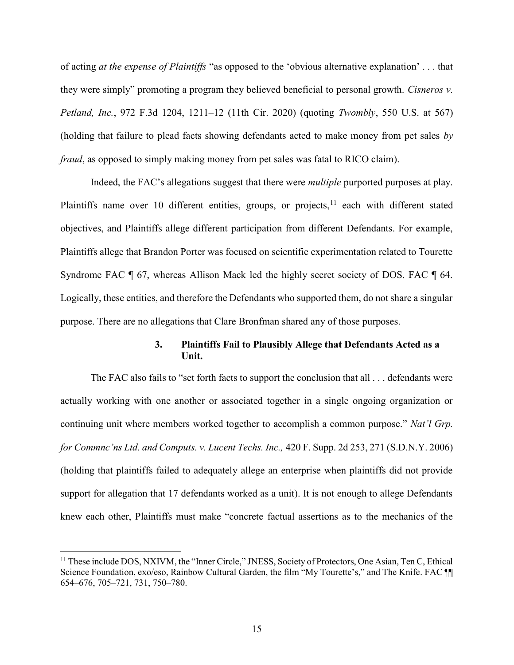of acting at the expense of Plaintiffs "as opposed to the 'obvious alternative explanation' . . . that they were simply" promoting a program they believed beneficial to personal growth. Cisneros v. Petland, Inc., 972 F.3d 1204, 1211–12 (11th Cir. 2020) (quoting Twombly, 550 U.S. at 567) (holding that failure to plead facts showing defendants acted to make money from pet sales by fraud, as opposed to simply making money from pet sales was fatal to RICO claim).

Indeed, the FAC's allegations suggest that there were *multiple* purported purposes at play. Plaintiffs name over 10 different entities, groups, or projects, $11$  each with different stated objectives, and Plaintiffs allege different participation from different Defendants. For example, Plaintiffs allege that Brandon Porter was focused on scientific experimentation related to Tourette Syndrome FAC ¶ 67, whereas Allison Mack led the highly secret society of DOS. FAC ¶ 64. Logically, these entities, and therefore the Defendants who supported them, do not share a singular purpose. There are no allegations that Clare Bronfman shared any of those purposes.

### 3. Plaintiffs Fail to Plausibly Allege that Defendants Acted as a Unit.

The FAC also fails to "set forth facts to support the conclusion that all . . . defendants were actually working with one another or associated together in a single ongoing organization or continuing unit where members worked together to accomplish a common purpose." Nat'l Grp. for Commnc'ns Ltd. and Computs. v. Lucent Techs. Inc., 420 F. Supp. 2d 253, 271 (S.D.N.Y. 2006) (holding that plaintiffs failed to adequately allege an enterprise when plaintiffs did not provide support for allegation that 17 defendants worked as a unit). It is not enough to allege Defendants knew each other, Plaintiffs must make "concrete factual assertions as to the mechanics of the

<sup>&</sup>lt;sup>11</sup> These include DOS, NXIVM, the "Inner Circle," JNESS, Society of Protectors, One Asian, Ten C, Ethical Science Foundation, exo/eso, Rainbow Cultural Garden, the film "My Tourette's," and The Knife. FAC ¶¶ 654–676, 705–721, 731, 750–780.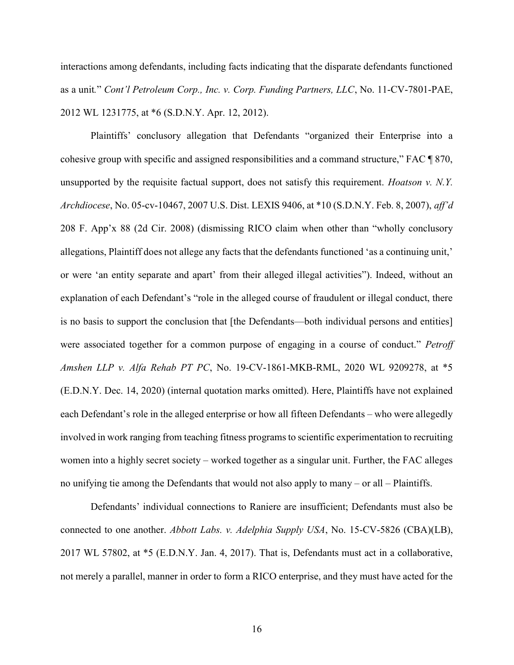interactions among defendants, including facts indicating that the disparate defendants functioned as a unit." Cont'l Petroleum Corp., Inc. v. Corp. Funding Partners, LLC, No. 11-CV-7801-PAE, 2012 WL 1231775, at \*6 (S.D.N.Y. Apr. 12, 2012).

Plaintiffs' conclusory allegation that Defendants "organized their Enterprise into a cohesive group with specific and assigned responsibilities and a command structure," FAC ¶ 870, unsupported by the requisite factual support, does not satisfy this requirement. *Hoatson v. N.Y.* Archdiocese, No. 05-cv-10467, 2007 U.S. Dist. LEXIS 9406, at \*10 (S.D.N.Y. Feb. 8, 2007), aff'd 208 F. App'x 88 (2d Cir. 2008) (dismissing RICO claim when other than "wholly conclusory allegations, Plaintiff does not allege any facts that the defendants functioned 'as a continuing unit,' or were 'an entity separate and apart' from their alleged illegal activities"). Indeed, without an explanation of each Defendant's "role in the alleged course of fraudulent or illegal conduct, there is no basis to support the conclusion that [the Defendants—both individual persons and entities] were associated together for a common purpose of engaging in a course of conduct." Petroff Amshen LLP v. Alfa Rehab PT PC, No. 19-CV-1861-MKB-RML, 2020 WL 9209278, at \*5 (E.D.N.Y. Dec. 14, 2020) (internal quotation marks omitted). Here, Plaintiffs have not explained each Defendant's role in the alleged enterprise or how all fifteen Defendants – who were allegedly involved in work ranging from teaching fitness programs to scientific experimentation to recruiting women into a highly secret society – worked together as a singular unit. Further, the FAC alleges no unifying tie among the Defendants that would not also apply to many – or all – Plaintiffs.

Defendants' individual connections to Raniere are insufficient; Defendants must also be connected to one another. Abbott Labs. v. Adelphia Supply USA, No. 15-CV-5826 (CBA)(LB), 2017 WL 57802, at \*5 (E.D.N.Y. Jan. 4, 2017). That is, Defendants must act in a collaborative, not merely a parallel, manner in order to form a RICO enterprise, and they must have acted for the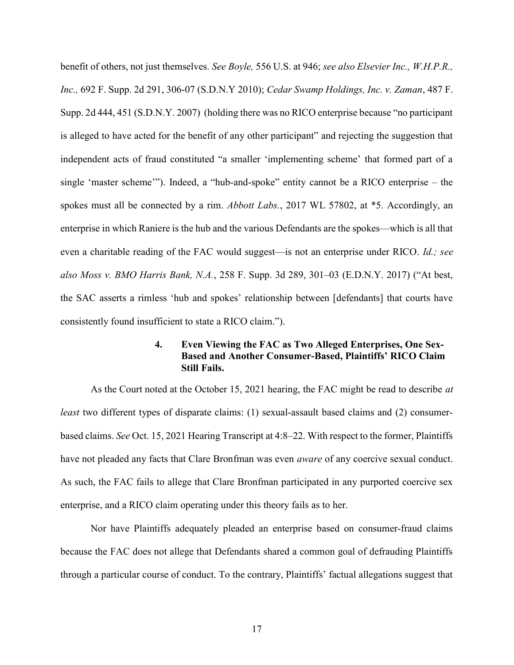benefit of others, not just themselves. See Boyle, 556 U.S. at 946; see also Elsevier Inc., W.H.P.R., Inc., 692 F. Supp. 2d 291, 306-07 (S.D.N.Y 2010); Cedar Swamp Holdings, Inc. v. Zaman, 487 F. Supp. 2d 444, 451 (S.D.N.Y. 2007) (holding there was no RICO enterprise because "no participant is alleged to have acted for the benefit of any other participant" and rejecting the suggestion that independent acts of fraud constituted "a smaller 'implementing scheme' that formed part of a single 'master scheme'"). Indeed, a "hub-and-spoke" entity cannot be a RICO enterprise – the spokes must all be connected by a rim. Abbott Labs., 2017 WL 57802, at \*5. Accordingly, an enterprise in which Raniere is the hub and the various Defendants are the spokes—which is all that even a charitable reading of the FAC would suggest—is not an enterprise under RICO. Id.; see also Moss v. BMO Harris Bank, N.A., 258 F. Supp. 3d 289, 301–03 (E.D.N.Y. 2017) ("At best, the SAC asserts a rimless 'hub and spokes' relationship between [defendants] that courts have consistently found insufficient to state a RICO claim.").

### 4. Even Viewing the FAC as Two Alleged Enterprises, One Sex-Based and Another Consumer-Based, Plaintiffs' RICO Claim Still Fails.

As the Court noted at the October 15, 2021 hearing, the FAC might be read to describe at least two different types of disparate claims: (1) sexual-assault based claims and (2) consumerbased claims. See Oct. 15, 2021 Hearing Transcript at 4:8–22. With respect to the former, Plaintiffs have not pleaded any facts that Clare Bronfman was even *aware* of any coercive sexual conduct. As such, the FAC fails to allege that Clare Bronfman participated in any purported coercive sex enterprise, and a RICO claim operating under this theory fails as to her.

Nor have Plaintiffs adequately pleaded an enterprise based on consumer-fraud claims because the FAC does not allege that Defendants shared a common goal of defrauding Plaintiffs through a particular course of conduct. To the contrary, Plaintiffs' factual allegations suggest that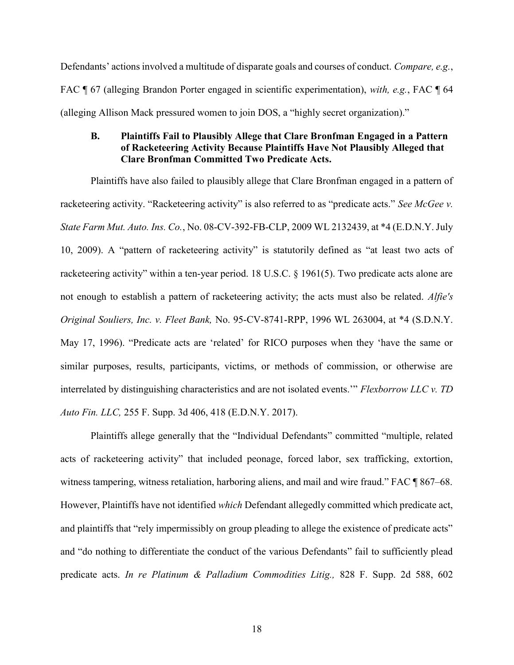Defendants' actions involved a multitude of disparate goals and courses of conduct. Compare, e.g., FAC ¶ 67 (alleging Brandon Porter engaged in scientific experimentation), with, e.g., FAC ¶ 64 (alleging Allison Mack pressured women to join DOS, a "highly secret organization)."

### B. Plaintiffs Fail to Plausibly Allege that Clare Bronfman Engaged in a Pattern of Racketeering Activity Because Plaintiffs Have Not Plausibly Alleged that Clare Bronfman Committed Two Predicate Acts.

Plaintiffs have also failed to plausibly allege that Clare Bronfman engaged in a pattern of racketeering activity. "Racketeering activity" is also referred to as "predicate acts." See McGee v. State Farm Mut. Auto. Ins. Co., No. 08-CV-392-FB-CLP, 2009 WL 2132439, at \*4 (E.D.N.Y. July 10, 2009). A "pattern of racketeering activity" is statutorily defined as "at least two acts of racketeering activity" within a ten-year period. 18 U.S.C. § 1961(5). Two predicate acts alone are not enough to establish a pattern of racketeering activity; the acts must also be related. Alfie's Original Souliers, Inc. v. Fleet Bank, No. 95-CV-8741-RPP, 1996 WL 263004, at \*4 (S.D.N.Y. May 17, 1996). "Predicate acts are 'related' for RICO purposes when they 'have the same or similar purposes, results, participants, victims, or methods of commission, or otherwise are interrelated by distinguishing characteristics and are not isolated events.'" Flexborrow LLC v. TD Auto Fin. LLC, 255 F. Supp. 3d 406, 418 (E.D.N.Y. 2017).

Plaintiffs allege generally that the "Individual Defendants" committed "multiple, related acts of racketeering activity" that included peonage, forced labor, sex trafficking, extortion, witness tampering, witness retaliation, harboring aliens, and mail and wire fraud." FAC ¶ 867–68. However, Plaintiffs have not identified which Defendant allegedly committed which predicate act, and plaintiffs that "rely impermissibly on group pleading to allege the existence of predicate acts" and "do nothing to differentiate the conduct of the various Defendants" fail to sufficiently plead predicate acts. In re Platinum & Palladium Commodities Litig., 828 F. Supp. 2d 588, 602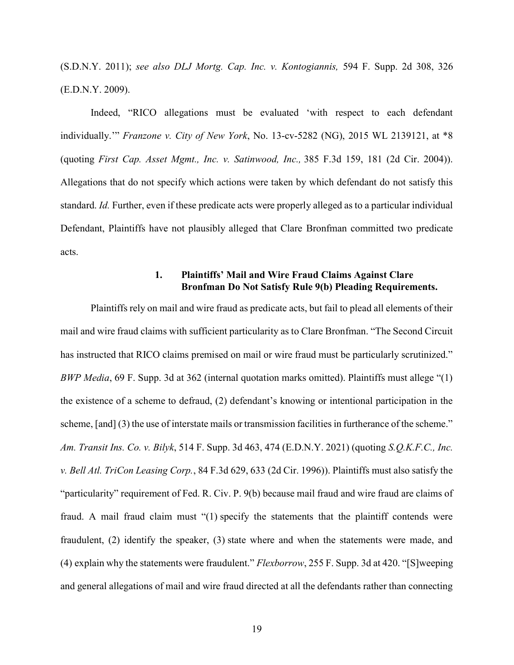(S.D.N.Y. 2011); see also DLJ Mortg. Cap. Inc. v. Kontogiannis, 594 F. Supp. 2d 308, 326 (E.D.N.Y. 2009).

Indeed, "RICO allegations must be evaluated 'with respect to each defendant individually." *Franzone v. City of New York*, No. 13-cv-5282 (NG), 2015 WL 2139121, at \*8 (quoting First Cap. Asset Mgmt., Inc. v. Satinwood, Inc., 385 F.3d 159, 181 (2d Cir. 2004)). Allegations that do not specify which actions were taken by which defendant do not satisfy this standard. Id. Further, even if these predicate acts were properly alleged as to a particular individual Defendant, Plaintiffs have not plausibly alleged that Clare Bronfman committed two predicate acts.

### 1. Plaintiffs' Mail and Wire Fraud Claims Against Clare Bronfman Do Not Satisfy Rule 9(b) Pleading Requirements.

Plaintiffs rely on mail and wire fraud as predicate acts, but fail to plead all elements of their mail and wire fraud claims with sufficient particularity as to Clare Bronfman. "The Second Circuit has instructed that RICO claims premised on mail or wire fraud must be particularly scrutinized." BWP Media, 69 F. Supp. 3d at 362 (internal quotation marks omitted). Plaintiffs must allege "(1) the existence of a scheme to defraud, (2) defendant's knowing or intentional participation in the scheme, [and] (3) the use of interstate mails or transmission facilities in furtherance of the scheme." Am. Transit Ins. Co. v. Bilyk, 514 F. Supp. 3d 463, 474 (E.D.N.Y. 2021) (quoting S.Q.K.F.C., Inc. v. Bell Atl. TriCon Leasing Corp., 84 F.3d 629, 633 (2d Cir. 1996)). Plaintiffs must also satisfy the "particularity" requirement of Fed. R. Civ. P. 9(b) because mail fraud and wire fraud are claims of fraud. A mail fraud claim must "(1) specify the statements that the plaintiff contends were fraudulent, (2) identify the speaker, (3) state where and when the statements were made, and (4) explain why the statements were fraudulent." Flexborrow, 255 F. Supp. 3d at 420. "[S]weeping and general allegations of mail and wire fraud directed at all the defendants rather than connecting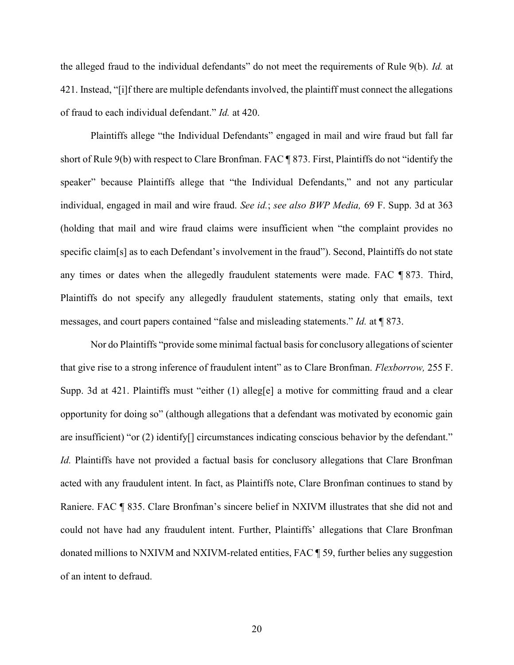the alleged fraud to the individual defendants" do not meet the requirements of Rule 9(b). Id. at 421. Instead, "[i]f there are multiple defendants involved, the plaintiff must connect the allegations of fraud to each individual defendant." Id. at 420.

Plaintiffs allege "the Individual Defendants" engaged in mail and wire fraud but fall far short of Rule 9(b) with respect to Clare Bronfman. FAC ¶ 873. First, Plaintiffs do not "identify the speaker" because Plaintiffs allege that "the Individual Defendants," and not any particular individual, engaged in mail and wire fraud. See id.; see also BWP Media, 69 F. Supp. 3d at 363 (holding that mail and wire fraud claims were insufficient when "the complaint provides no specific claim[s] as to each Defendant's involvement in the fraud"). Second, Plaintiffs do not state any times or dates when the allegedly fraudulent statements were made. FAC ¶ 873. Third, Plaintiffs do not specify any allegedly fraudulent statements, stating only that emails, text messages, and court papers contained "false and misleading statements." Id. at ¶ 873.

Nor do Plaintiffs "provide some minimal factual basis for conclusory allegations of scienter that give rise to a strong inference of fraudulent intent" as to Clare Bronfman. Flexborrow, 255 F. Supp. 3d at 421. Plaintiffs must "either (1) alleg[e] a motive for committing fraud and a clear opportunity for doing so" (although allegations that a defendant was motivated by economic gain are insufficient) "or (2) identify[] circumstances indicating conscious behavior by the defendant." Id. Plaintiffs have not provided a factual basis for conclusory allegations that Clare Bronfman acted with any fraudulent intent. In fact, as Plaintiffs note, Clare Bronfman continues to stand by Raniere. FAC ¶ 835. Clare Bronfman's sincere belief in NXIVM illustrates that she did not and could not have had any fraudulent intent. Further, Plaintiffs' allegations that Clare Bronfman donated millions to NXIVM and NXIVM-related entities, FAC ¶ 59, further belies any suggestion of an intent to defraud.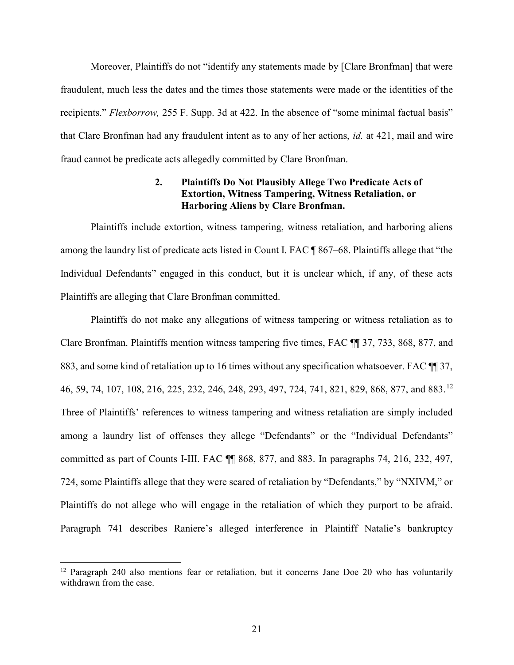Moreover, Plaintiffs do not "identify any statements made by [Clare Bronfman] that were fraudulent, much less the dates and the times those statements were made or the identities of the recipients." Flexborrow, 255 F. Supp. 3d at 422. In the absence of "some minimal factual basis" that Clare Bronfman had any fraudulent intent as to any of her actions, id. at 421, mail and wire fraud cannot be predicate acts allegedly committed by Clare Bronfman.

## 2. Plaintiffs Do Not Plausibly Allege Two Predicate Acts of Extortion, Witness Tampering, Witness Retaliation, or Harboring Aliens by Clare Bronfman.

Plaintiffs include extortion, witness tampering, witness retaliation, and harboring aliens among the laundry list of predicate acts listed in Count I. FAC ¶ 867–68. Plaintiffs allege that "the Individual Defendants" engaged in this conduct, but it is unclear which, if any, of these acts Plaintiffs are alleging that Clare Bronfman committed.

Plaintiffs do not make any allegations of witness tampering or witness retaliation as to Clare Bronfman. Plaintiffs mention witness tampering five times, FAC ¶¶ 37, 733, 868, 877, and 883, and some kind of retaliation up to 16 times without any specification whatsoever. FAC ¶¶ 37, 46, 59, 74, 107, 108, 216, 225, 232, 246, 248, 293, 497, 724, 741, 821, 829, 868, 877, and 883.<sup>12</sup> Three of Plaintiffs' references to witness tampering and witness retaliation are simply included among a laundry list of offenses they allege "Defendants" or the "Individual Defendants" committed as part of Counts I-III. FAC ¶¶ 868, 877, and 883. In paragraphs 74, 216, 232, 497, 724, some Plaintiffs allege that they were scared of retaliation by "Defendants," by "NXIVM," or Plaintiffs do not allege who will engage in the retaliation of which they purport to be afraid. Paragraph 741 describes Raniere's alleged interference in Plaintiff Natalie's bankruptcy

-

<sup>&</sup>lt;sup>12</sup> Paragraph 240 also mentions fear or retaliation, but it concerns Jane Doe 20 who has voluntarily withdrawn from the case.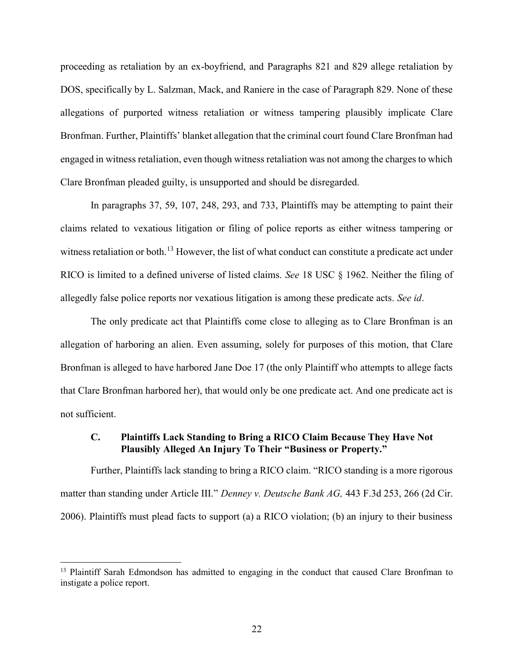proceeding as retaliation by an ex-boyfriend, and Paragraphs 821 and 829 allege retaliation by DOS, specifically by L. Salzman, Mack, and Raniere in the case of Paragraph 829. None of these allegations of purported witness retaliation or witness tampering plausibly implicate Clare Bronfman. Further, Plaintiffs' blanket allegation that the criminal court found Clare Bronfman had engaged in witness retaliation, even though witness retaliation was not among the charges to which Clare Bronfman pleaded guilty, is unsupported and should be disregarded.

In paragraphs 37, 59, 107, 248, 293, and 733, Plaintiffs may be attempting to paint their claims related to vexatious litigation or filing of police reports as either witness tampering or witness retaliation or both.<sup>13</sup> However, the list of what conduct can constitute a predicate act under RICO is limited to a defined universe of listed claims. See 18 USC § 1962. Neither the filing of allegedly false police reports nor vexatious litigation is among these predicate acts. See id.

The only predicate act that Plaintiffs come close to alleging as to Clare Bronfman is an allegation of harboring an alien. Even assuming, solely for purposes of this motion, that Clare Bronfman is alleged to have harbored Jane Doe 17 (the only Plaintiff who attempts to allege facts that Clare Bronfman harbored her), that would only be one predicate act. And one predicate act is not sufficient.

### C. Plaintiffs Lack Standing to Bring a RICO Claim Because They Have Not Plausibly Alleged An Injury To Their "Business or Property."

Further, Plaintiffs lack standing to bring a RICO claim. "RICO standing is a more rigorous matter than standing under Article III." Denney v. Deutsche Bank AG, 443 F.3d 253, 266 (2d Cir. 2006). Plaintiffs must plead facts to support (a) a RICO violation; (b) an injury to their business

-

<sup>&</sup>lt;sup>13</sup> Plaintiff Sarah Edmondson has admitted to engaging in the conduct that caused Clare Bronfman to instigate a police report.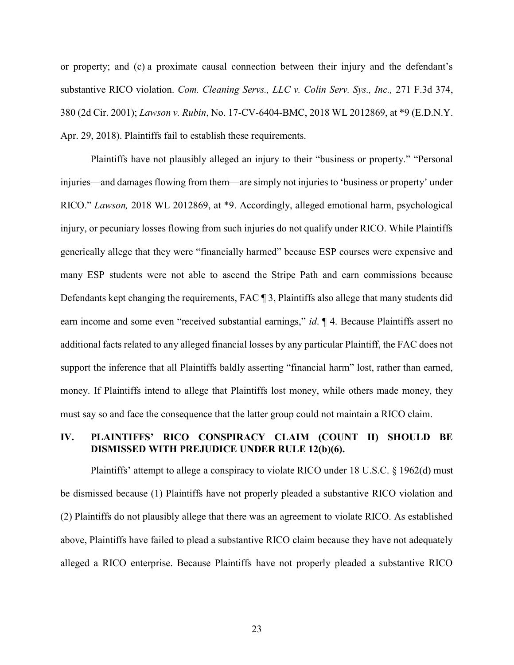or property; and (c) a proximate causal connection between their injury and the defendant's substantive RICO violation. Com. Cleaning Servs., LLC v. Colin Serv. Sys., Inc., 271 F.3d 374, 380 (2d Cir. 2001); Lawson v. Rubin, No. 17-CV-6404-BMC, 2018 WL 2012869, at \*9 (E.D.N.Y. Apr. 29, 2018). Plaintiffs fail to establish these requirements.

Plaintiffs have not plausibly alleged an injury to their "business or property." "Personal injuries—and damages flowing from them—are simply not injuries to 'business or property' under RICO." Lawson, 2018 WL 2012869, at \*9. Accordingly, alleged emotional harm, psychological injury, or pecuniary losses flowing from such injuries do not qualify under RICO. While Plaintiffs generically allege that they were "financially harmed" because ESP courses were expensive and many ESP students were not able to ascend the Stripe Path and earn commissions because Defendants kept changing the requirements, FAC ¶ 3, Plaintiffs also allege that many students did earn income and some even "received substantial earnings," id. ¶ 4. Because Plaintiffs assert no additional facts related to any alleged financial losses by any particular Plaintiff, the FAC does not support the inference that all Plaintiffs baldly asserting "financial harm" lost, rather than earned, money. If Plaintiffs intend to allege that Plaintiffs lost money, while others made money, they must say so and face the consequence that the latter group could not maintain a RICO claim.

### IV. PLAINTIFFS' RICO CONSPIRACY CLAIM (COUNT II) SHOULD BE DISMISSED WITH PREJUDICE UNDER RULE 12(b)(6).

Plaintiffs' attempt to allege a conspiracy to violate RICO under 18 U.S.C. § 1962(d) must be dismissed because (1) Plaintiffs have not properly pleaded a substantive RICO violation and (2) Plaintiffs do not plausibly allege that there was an agreement to violate RICO. As established above, Plaintiffs have failed to plead a substantive RICO claim because they have not adequately alleged a RICO enterprise. Because Plaintiffs have not properly pleaded a substantive RICO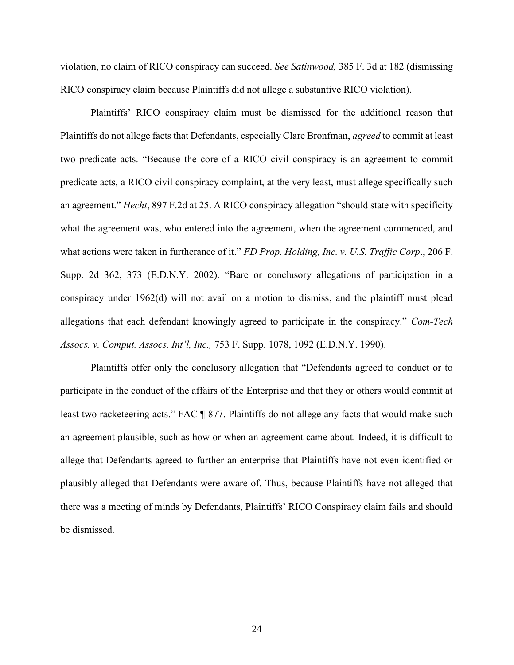violation, no claim of RICO conspiracy can succeed. See Satinwood, 385 F. 3d at 182 (dismissing RICO conspiracy claim because Plaintiffs did not allege a substantive RICO violation).

Plaintiffs' RICO conspiracy claim must be dismissed for the additional reason that Plaintiffs do not allege facts that Defendants, especially Clare Bronfman, agreed to commit at least two predicate acts. "Because the core of a RICO civil conspiracy is an agreement to commit predicate acts, a RICO civil conspiracy complaint, at the very least, must allege specifically such an agreement." Hecht, 897 F.2d at 25. A RICO conspiracy allegation "should state with specificity what the agreement was, who entered into the agreement, when the agreement commenced, and what actions were taken in furtherance of it." FD Prop. Holding, Inc. v. U.S. Traffic Corp., 206 F. Supp. 2d 362, 373 (E.D.N.Y. 2002). "Bare or conclusory allegations of participation in a conspiracy under 1962(d) will not avail on a motion to dismiss, and the plaintiff must plead allegations that each defendant knowingly agreed to participate in the conspiracy." Com-Tech Assocs. v. Comput. Assocs. Int'l, Inc., 753 F. Supp. 1078, 1092 (E.D.N.Y. 1990).

Plaintiffs offer only the conclusory allegation that "Defendants agreed to conduct or to participate in the conduct of the affairs of the Enterprise and that they or others would commit at least two racketeering acts." FAC ¶ 877. Plaintiffs do not allege any facts that would make such an agreement plausible, such as how or when an agreement came about. Indeed, it is difficult to allege that Defendants agreed to further an enterprise that Plaintiffs have not even identified or plausibly alleged that Defendants were aware of. Thus, because Plaintiffs have not alleged that there was a meeting of minds by Defendants, Plaintiffs' RICO Conspiracy claim fails and should be dismissed.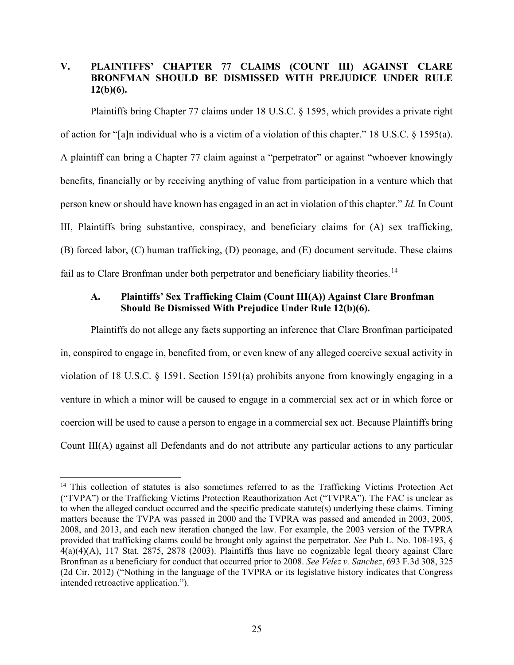## V. PLAINTIFFS' CHAPTER 77 CLAIMS (COUNT III) AGAINST CLARE BRONFMAN SHOULD BE DISMISSED WITH PREJUDICE UNDER RULE  $12(b)(6)$ .

Plaintiffs bring Chapter 77 claims under 18 U.S.C. § 1595, which provides a private right of action for "[a]n individual who is a victim of a violation of this chapter." 18 U.S.C. § 1595(a). A plaintiff can bring a Chapter 77 claim against a "perpetrator" or against "whoever knowingly benefits, financially or by receiving anything of value from participation in a venture which that person knew or should have known has engaged in an act in violation of this chapter." Id. In Count III, Plaintiffs bring substantive, conspiracy, and beneficiary claims for (A) sex trafficking, (B) forced labor, (C) human trafficking, (D) peonage, and (E) document servitude. These claims fail as to Clare Bronfman under both perpetrator and beneficiary liability theories.<sup>14</sup>

## A. Plaintiffs' Sex Trafficking Claim (Count III(A)) Against Clare Bronfman Should Be Dismissed With Prejudice Under Rule 12(b)(6).

Plaintiffs do not allege any facts supporting an inference that Clare Bronfman participated in, conspired to engage in, benefited from, or even knew of any alleged coercive sexual activity in violation of 18 U.S.C. § 1591. Section 1591(a) prohibits anyone from knowingly engaging in a venture in which a minor will be caused to engage in a commercial sex act or in which force or coercion will be used to cause a person to engage in a commercial sex act. Because Plaintiffs bring Count III(A) against all Defendants and do not attribute any particular actions to any particular

 $\overline{a}$ 

<sup>&</sup>lt;sup>14</sup> This collection of statutes is also sometimes referred to as the Trafficking Victims Protection Act ("TVPA") or the Trafficking Victims Protection Reauthorization Act ("TVPRA"). The FAC is unclear as to when the alleged conduct occurred and the specific predicate statute(s) underlying these claims. Timing matters because the TVPA was passed in 2000 and the TVPRA was passed and amended in 2003, 2005, 2008, and 2013, and each new iteration changed the law. For example, the 2003 version of the TVPRA provided that trafficking claims could be brought only against the perpetrator. See Pub L. No. 108-193, §  $4(a)(4)(A)$ , 117 Stat. 2875, 2878 (2003). Plaintiffs thus have no cognizable legal theory against Clare Bronfman as a beneficiary for conduct that occurred prior to 2008. See Velez v. Sanchez, 693 F.3d 308, 325 (2d Cir. 2012) ("Nothing in the language of the TVPRA or its legislative history indicates that Congress intended retroactive application.").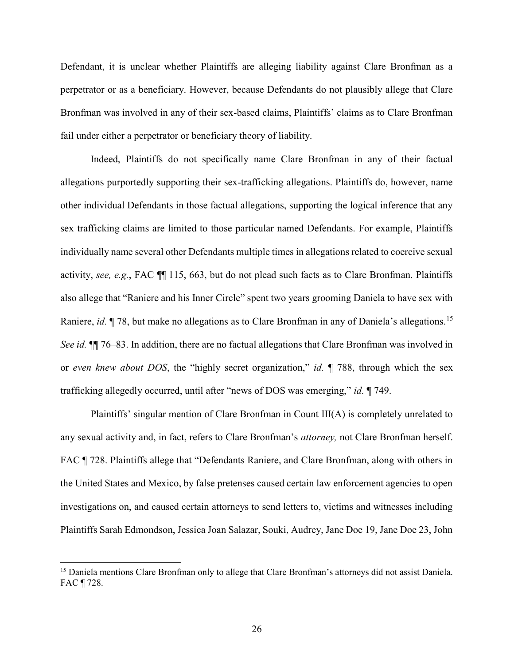Defendant, it is unclear whether Plaintiffs are alleging liability against Clare Bronfman as a perpetrator or as a beneficiary. However, because Defendants do not plausibly allege that Clare Bronfman was involved in any of their sex-based claims, Plaintiffs' claims as to Clare Bronfman fail under either a perpetrator or beneficiary theory of liability.

Indeed, Plaintiffs do not specifically name Clare Bronfman in any of their factual allegations purportedly supporting their sex-trafficking allegations. Plaintiffs do, however, name other individual Defendants in those factual allegations, supporting the logical inference that any sex trafficking claims are limited to those particular named Defendants. For example, Plaintiffs individually name several other Defendants multiple times in allegations related to coercive sexual activity, see, e.g., FAC ¶¶ 115, 663, but do not plead such facts as to Clare Bronfman. Plaintiffs also allege that "Raniere and his Inner Circle" spent two years grooming Daniela to have sex with Raniere, *id.* ¶ 78, but make no allegations as to Clare Bronfman in any of Daniela's allegations.<sup>15</sup> See id.  $\P$  76–83. In addition, there are no factual allegations that Clare Bronfman was involved in or even knew about DOS, the "highly secret organization," id.  $\parallel$  788, through which the sex trafficking allegedly occurred, until after "news of DOS was emerging," id. 1749.

Plaintiffs' singular mention of Clare Bronfman in Count III(A) is completely unrelated to any sexual activity and, in fact, refers to Clare Bronfman's attorney, not Clare Bronfman herself. FAC ¶ 728. Plaintiffs allege that "Defendants Raniere, and Clare Bronfman, along with others in the United States and Mexico, by false pretenses caused certain law enforcement agencies to open investigations on, and caused certain attorneys to send letters to, victims and witnesses including Plaintiffs Sarah Edmondson, Jessica Joan Salazar, Souki, Audrey, Jane Doe 19, Jane Doe 23, John

-

<sup>&</sup>lt;sup>15</sup> Daniela mentions Clare Bronfman only to allege that Clare Bronfman's attorneys did not assist Daniela. FAC ¶ 728.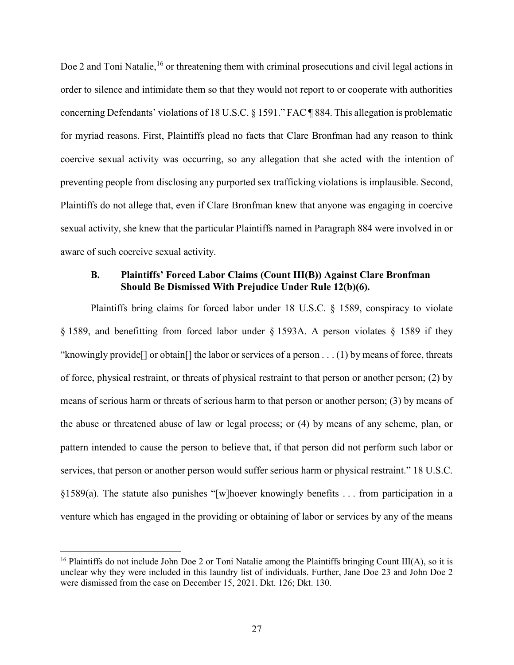Doe 2 and Toni Natalie,<sup>16</sup> or threatening them with criminal prosecutions and civil legal actions in order to silence and intimidate them so that they would not report to or cooperate with authorities concerning Defendants' violations of 18 U.S.C. § 1591." FAC ¶ 884. This allegation is problematic for myriad reasons. First, Plaintiffs plead no facts that Clare Bronfman had any reason to think coercive sexual activity was occurring, so any allegation that she acted with the intention of preventing people from disclosing any purported sex trafficking violations is implausible. Second, Plaintiffs do not allege that, even if Clare Bronfman knew that anyone was engaging in coercive sexual activity, she knew that the particular Plaintiffs named in Paragraph 884 were involved in or aware of such coercive sexual activity.

### B. Plaintiffs' Forced Labor Claims (Count III(B)) Against Clare Bronfman Should Be Dismissed With Prejudice Under Rule 12(b)(6).

Plaintiffs bring claims for forced labor under 18 U.S.C. § 1589, conspiracy to violate § 1589, and benefitting from forced labor under § 1593A. A person violates § 1589 if they "knowingly provide[] or obtain[] the labor or services of a person . . . (1) by means of force, threats of force, physical restraint, or threats of physical restraint to that person or another person; (2) by means of serious harm or threats of serious harm to that person or another person; (3) by means of the abuse or threatened abuse of law or legal process; or (4) by means of any scheme, plan, or pattern intended to cause the person to believe that, if that person did not perform such labor or services, that person or another person would suffer serious harm or physical restraint." 18 U.S.C. §1589(a). The statute also punishes "[w]hoever knowingly benefits . . . from participation in a venture which has engaged in the providing or obtaining of labor or services by any of the means

<sup>&</sup>lt;sup>16</sup> Plaintiffs do not include John Doe 2 or Toni Natalie among the Plaintiffs bringing Count III(A), so it is unclear why they were included in this laundry list of individuals. Further, Jane Doe 23 and John Doe 2 were dismissed from the case on December 15, 2021. Dkt. 126; Dkt. 130.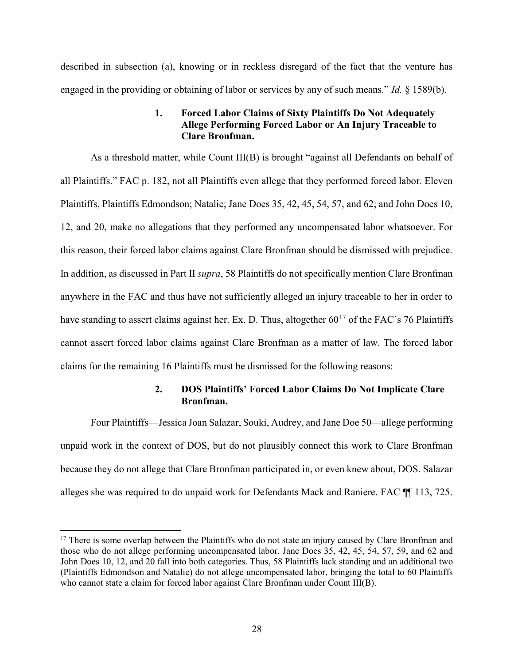described in subsection (a), knowing or in reckless disregard of the fact that the venture has engaged in the providing or obtaining of labor or services by any of such means." Id.  $\S$  1589(b).

### 1. Forced Labor Claims of Sixty Plaintiffs Do Not Adequately Allege Performing Forced Labor or An Injury Traceable to Clare Bronfman.

As a threshold matter, while Count III(B) is brought "against all Defendants on behalf of all Plaintiffs." FAC p. 182, not all Plaintiffs even allege that they performed forced labor. Eleven Plaintiffs, Plaintiffs Edmondson; Natalie; Jane Does 35, 42, 45, 54, 57, and 62; and John Does 10, 12, and 20, make no allegations that they performed any uncompensated labor whatsoever. For this reason, their forced labor claims against Clare Bronfman should be dismissed with prejudice. In addition, as discussed in Part II supra, 58 Plaintiffs do not specifically mention Clare Bronfman anywhere in the FAC and thus have not sufficiently alleged an injury traceable to her in order to have standing to assert claims against her. Ex. D. Thus, altogether  $60^{17}$  of the FAC's 76 Plaintiffs cannot assert forced labor claims against Clare Bronfman as a matter of law. The forced labor claims for the remaining 16 Plaintiffs must be dismissed for the following reasons:

### 2. DOS Plaintiffs' Forced Labor Claims Do Not Implicate Clare Bronfman.

Four Plaintiffs—Jessica Joan Salazar, Souki, Audrey, and Jane Doe 50—allege performing unpaid work in the context of DOS, but do not plausibly connect this work to Clare Bronfman because they do not allege that Clare Bronfman participated in, or even knew about, DOS. Salazar alleges she was required to do unpaid work for Defendants Mack and Raniere. FAC ¶¶ 113, 725.

<sup>&</sup>lt;sup>17</sup> There is some overlap between the Plaintiffs who do not state an injury caused by Clare Bronfman and those who do not allege performing uncompensated labor. Jane Does 35, 42, 45, 54, 57, 59, and 62 and John Does 10, 12, and 20 fall into both categories. Thus, 58 Plaintiffs lack standing and an additional two (Plaintiffs Edmondson and Natalie) do not allege uncompensated labor, bringing the total to 60 Plaintiffs who cannot state a claim for forced labor against Clare Bronfman under Count III(B).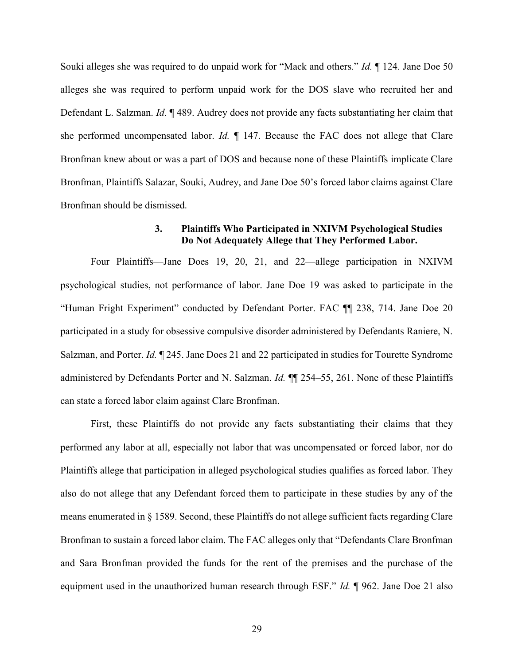Souki alleges she was required to do unpaid work for "Mack and others." *Id.* 124. Jane Doe 50 alleges she was required to perform unpaid work for the DOS slave who recruited her and Defendant L. Salzman. Id. ¶ 489. Audrey does not provide any facts substantiating her claim that she performed uncompensated labor. Id.  $\P$  147. Because the FAC does not allege that Clare Bronfman knew about or was a part of DOS and because none of these Plaintiffs implicate Clare Bronfman, Plaintiffs Salazar, Souki, Audrey, and Jane Doe 50's forced labor claims against Clare Bronfman should be dismissed.

### 3. Plaintiffs Who Participated in NXIVM Psychological Studies Do Not Adequately Allege that They Performed Labor.

Four Plaintiffs—Jane Does 19, 20, 21, and 22—allege participation in NXIVM psychological studies, not performance of labor. Jane Doe 19 was asked to participate in the "Human Fright Experiment" conducted by Defendant Porter. FAC ¶¶ 238, 714. Jane Doe 20 participated in a study for obsessive compulsive disorder administered by Defendants Raniere, N. Salzman, and Porter. Id. 1245. Jane Does 21 and 22 participated in studies for Tourette Syndrome administered by Defendants Porter and N. Salzman. *Id.* **[1]** 254–55, 261. None of these Plaintiffs can state a forced labor claim against Clare Bronfman.

First, these Plaintiffs do not provide any facts substantiating their claims that they performed any labor at all, especially not labor that was uncompensated or forced labor, nor do Plaintiffs allege that participation in alleged psychological studies qualifies as forced labor. They also do not allege that any Defendant forced them to participate in these studies by any of the means enumerated in § 1589. Second, these Plaintiffs do not allege sufficient facts regarding Clare Bronfman to sustain a forced labor claim. The FAC alleges only that "Defendants Clare Bronfman and Sara Bronfman provided the funds for the rent of the premises and the purchase of the equipment used in the unauthorized human research through ESF." *Id.* 1962. Jane Doe 21 also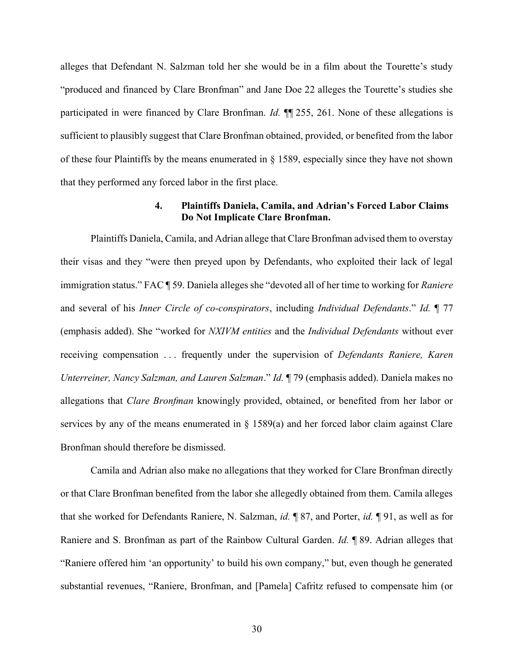alleges that Defendant N. Salzman told her she would be in a film about the Tourette's study "produced and financed by Clare Bronfman" and Jane Doe 22 alleges the Tourette's studies she participated in were financed by Clare Bronfman. *Id.* ¶ 255, 261. None of these allegations is sufficient to plausibly suggest that Clare Bronfman obtained, provided, or benefited from the labor of these four Plaintiffs by the means enumerated in § 1589, especially since they have not shown that they performed any forced labor in the first place.

### 4. Plaintiffs Daniela, Camila, and Adrian's Forced Labor Claims Do Not Implicate Clare Bronfman.

Plaintiffs Daniela, Camila, and Adrian allege that Clare Bronfman advised them to overstay their visas and they "were then preyed upon by Defendants, who exploited their lack of legal immigration status." FAC ¶ 59. Daniela alleges she "devoted all of her time to working for Raniere and several of his Inner Circle of co-conspirators, including Individual Defendants." Id. ¶ 77 (emphasis added). She "worked for NXIVM entities and the Individual Defendants without ever receiving compensation ... frequently under the supervision of *Defendants Raniere, Karen* Unterreiner, Nancy Salzman, and Lauren Salzman." Id. ¶ 79 (emphasis added). Daniela makes no allegations that Clare Bronfman knowingly provided, obtained, or benefited from her labor or services by any of the means enumerated in  $\S$  1589(a) and her forced labor claim against Clare Bronfman should therefore be dismissed.

Camila and Adrian also make no allegations that they worked for Clare Bronfman directly or that Clare Bronfman benefited from the labor she allegedly obtained from them. Camila alleges that she worked for Defendants Raniere, N. Salzman, id. ¶ 87, and Porter, id. ¶ 91, as well as for Raniere and S. Bronfman as part of the Rainbow Cultural Garden. Id. ¶ 89. Adrian alleges that "Raniere offered him 'an opportunity' to build his own company," but, even though he generated substantial revenues, "Raniere, Bronfman, and [Pamela] Cafritz refused to compensate him (or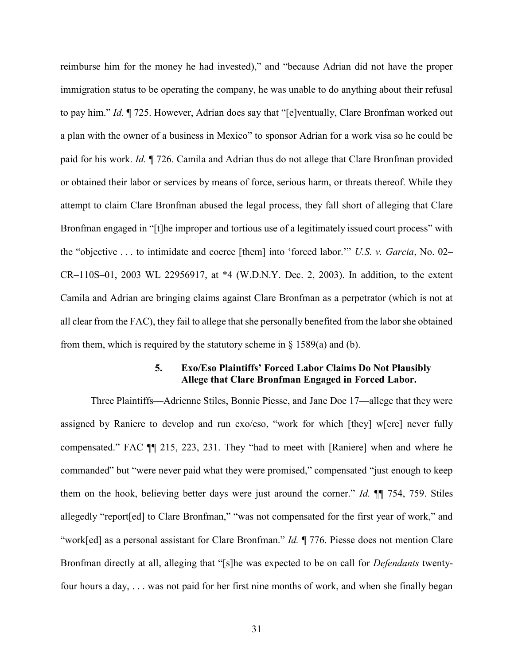reimburse him for the money he had invested)," and "because Adrian did not have the proper immigration status to be operating the company, he was unable to do anything about their refusal to pay him." Id. ¶ 725. However, Adrian does say that "[e]ventually, Clare Bronfman worked out a plan with the owner of a business in Mexico" to sponsor Adrian for a work visa so he could be paid for his work. Id. ¶ 726. Camila and Adrian thus do not allege that Clare Bronfman provided or obtained their labor or services by means of force, serious harm, or threats thereof. While they attempt to claim Clare Bronfman abused the legal process, they fall short of alleging that Clare Bronfman engaged in "[t]he improper and tortious use of a legitimately issued court process" with the "objective  $\dots$  to intimidate and coerce [them] into 'forced labor." U.S. v. Garcia, No. 02– CR–110S–01, 2003 WL 22956917, at \*4 (W.D.N.Y. Dec. 2, 2003). In addition, to the extent Camila and Adrian are bringing claims against Clare Bronfman as a perpetrator (which is not at all clear from the FAC), they fail to allege that she personally benefited from the labor she obtained from them, which is required by the statutory scheme in  $\S$  1589(a) and (b).

### 5. Exo/Eso Plaintiffs' Forced Labor Claims Do Not Plausibly Allege that Clare Bronfman Engaged in Forced Labor.

Three Plaintiffs—Adrienne Stiles, Bonnie Piesse, and Jane Doe 17—allege that they were assigned by Raniere to develop and run exo/eso, "work for which [they] w[ere] never fully compensated." FAC ¶¶ 215, 223, 231. They "had to meet with [Raniere] when and where he commanded" but "were never paid what they were promised," compensated "just enough to keep them on the hook, believing better days were just around the corner." Id. ¶¶ 754, 759. Stiles allegedly "report[ed] to Clare Bronfman," "was not compensated for the first year of work," and "work[ed] as a personal assistant for Clare Bronfman." Id. ¶ 776. Piesse does not mention Clare Bronfman directly at all, alleging that "[s]he was expected to be on call for Defendants twentyfour hours a day, . . . was not paid for her first nine months of work, and when she finally began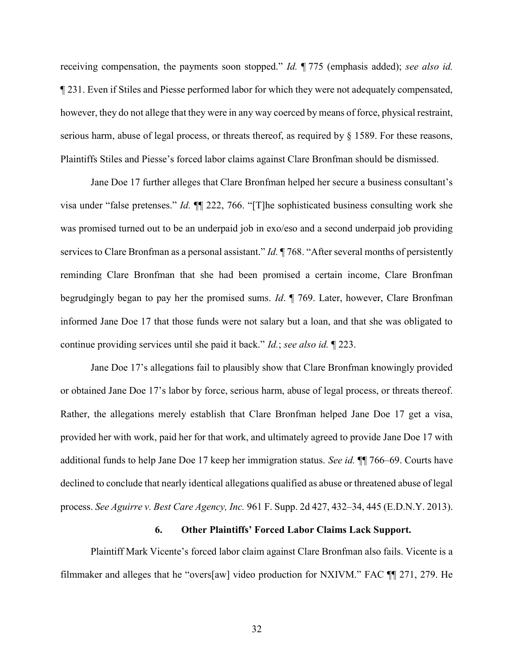receiving compensation, the payments soon stopped." Id. ¶ 775 (emphasis added); see also id. ¶ 231. Even if Stiles and Piesse performed labor for which they were not adequately compensated, however, they do not allege that they were in any way coerced by means of force, physical restraint, serious harm, abuse of legal process, or threats thereof, as required by § 1589. For these reasons, Plaintiffs Stiles and Piesse's forced labor claims against Clare Bronfman should be dismissed.

Jane Doe 17 further alleges that Clare Bronfman helped her secure a business consultant's visa under "false pretenses." Id. ¶¶ 222, 766. "[T]he sophisticated business consulting work she was promised turned out to be an underpaid job in exo/eso and a second underpaid job providing services to Clare Bronfman as a personal assistant." *Id.*  $\P$  768. "After several months of persistently reminding Clare Bronfman that she had been promised a certain income, Clare Bronfman begrudgingly began to pay her the promised sums. Id. ¶ 769. Later, however, Clare Bronfman informed Jane Doe 17 that those funds were not salary but a loan, and that she was obligated to continue providing services until she paid it back." Id.; see also id. ¶ 223.

Jane Doe 17's allegations fail to plausibly show that Clare Bronfman knowingly provided or obtained Jane Doe 17's labor by force, serious harm, abuse of legal process, or threats thereof. Rather, the allegations merely establish that Clare Bronfman helped Jane Doe 17 get a visa, provided her with work, paid her for that work, and ultimately agreed to provide Jane Doe 17 with additional funds to help Jane Doe 17 keep her immigration status. See id. ¶¶ 766–69. Courts have declined to conclude that nearly identical allegations qualified as abuse or threatened abuse of legal process. See Aguirre v. Best Care Agency, Inc. 961 F. Supp. 2d 427, 432–34, 445 (E.D.N.Y. 2013).

#### 6. Other Plaintiffs' Forced Labor Claims Lack Support.

Plaintiff Mark Vicente's forced labor claim against Clare Bronfman also fails. Vicente is a filmmaker and alleges that he "overs[aw] video production for NXIVM." FAC ¶¶ 271, 279. He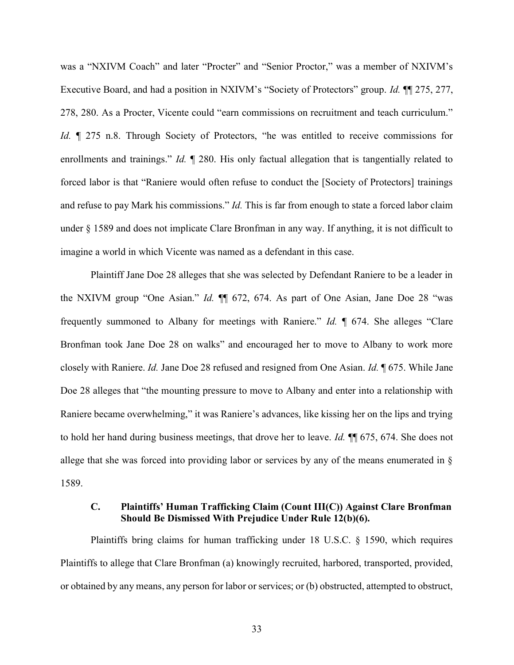was a "NXIVM Coach" and later "Procter" and "Senior Proctor," was a member of NXIVM's Executive Board, and had a position in NXIVM's "Society of Protectors" group. *Id.* ¶ 275, 277, 278, 280. As a Procter, Vicente could "earn commissions on recruitment and teach curriculum." Id.  $\parallel$  275 n.8. Through Society of Protectors, "he was entitled to receive commissions for enrollments and trainings." *Id.*  $\llbracket$  280. His only factual allegation that is tangentially related to forced labor is that "Raniere would often refuse to conduct the [Society of Protectors] trainings and refuse to pay Mark his commissions." *Id*. This is far from enough to state a forced labor claim under § 1589 and does not implicate Clare Bronfman in any way. If anything, it is not difficult to imagine a world in which Vicente was named as a defendant in this case.

Plaintiff Jane Doe 28 alleges that she was selected by Defendant Raniere to be a leader in the NXIVM group "One Asian." Id. ¶¶ 672, 674. As part of One Asian, Jane Doe 28 "was frequently summoned to Albany for meetings with Raniere." Id. ¶ 674. She alleges "Clare Bronfman took Jane Doe 28 on walks" and encouraged her to move to Albany to work more closely with Raniere. Id. Jane Doe 28 refused and resigned from One Asian. Id. ¶ 675. While Jane Doe 28 alleges that "the mounting pressure to move to Albany and enter into a relationship with Raniere became overwhelming," it was Raniere's advances, like kissing her on the lips and trying to hold her hand during business meetings, that drove her to leave. Id. ¶¶ 675, 674. She does not allege that she was forced into providing labor or services by any of the means enumerated in § 1589.

### C. Plaintiffs' Human Trafficking Claim (Count III(C)) Against Clare Bronfman Should Be Dismissed With Prejudice Under Rule 12(b)(6).

Plaintiffs bring claims for human trafficking under 18 U.S.C. § 1590, which requires Plaintiffs to allege that Clare Bronfman (a) knowingly recruited, harbored, transported, provided, or obtained by any means, any person for labor or services; or (b) obstructed, attempted to obstruct,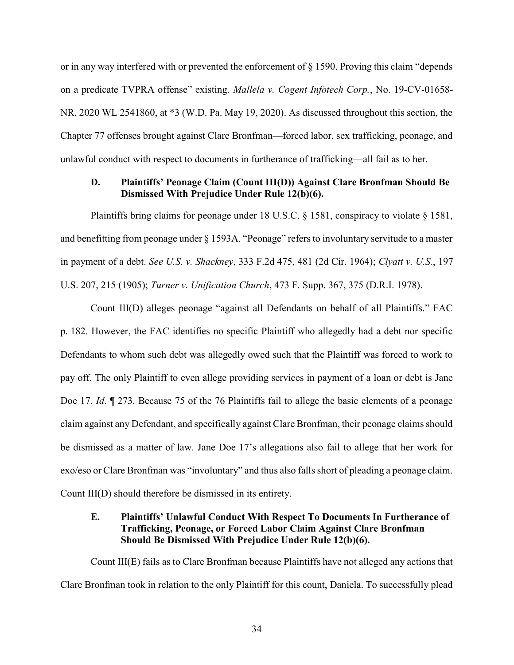or in any way interfered with or prevented the enforcement of § 1590. Proving this claim "depends on a predicate TVPRA offense" existing. Mallela v. Cogent Infotech Corp., No. 19-CV-01658- NR, 2020 WL 2541860, at \*3 (W.D. Pa. May 19, 2020). As discussed throughout this section, the Chapter 77 offenses brought against Clare Bronfman—forced labor, sex trafficking, peonage, and unlawful conduct with respect to documents in furtherance of trafficking—all fail as to her.

### D. Plaintiffs' Peonage Claim (Count III(D)) Against Clare Bronfman Should Be Dismissed With Prejudice Under Rule 12(b)(6).

Plaintiffs bring claims for peonage under 18 U.S.C. § 1581, conspiracy to violate § 1581, and benefitting from peonage under § 1593A. "Peonage" refers to involuntary servitude to a master in payment of a debt. See U.S. v. Shackney, 333 F.2d 475, 481 (2d Cir. 1964); Clyatt v. U.S., 197 U.S. 207, 215 (1905); Turner v. Unification Church, 473 F. Supp. 367, 375 (D.R.I. 1978).

Count III(D) alleges peonage "against all Defendants on behalf of all Plaintiffs." FAC p. 182. However, the FAC identifies no specific Plaintiff who allegedly had a debt nor specific Defendants to whom such debt was allegedly owed such that the Plaintiff was forced to work to pay off. The only Plaintiff to even allege providing services in payment of a loan or debt is Jane Doe 17. *Id.*  $\parallel$  273. Because 75 of the 76 Plaintiffs fail to allege the basic elements of a peonage claim against any Defendant, and specifically against Clare Bronfman, their peonage claims should be dismissed as a matter of law. Jane Doe 17's allegations also fail to allege that her work for exo/eso or Clare Bronfman was "involuntary" and thus also falls short of pleading a peonage claim. Count III(D) should therefore be dismissed in its entirety.

## E. Plaintiffs' Unlawful Conduct With Respect To Documents In Furtherance of Trafficking, Peonage, or Forced Labor Claim Against Clare Bronfman Should Be Dismissed With Prejudice Under Rule 12(b)(6).

Count III(E) fails as to Clare Bronfman because Plaintiffs have not alleged any actions that Clare Bronfman took in relation to the only Plaintiff for this count, Daniela. To successfully plead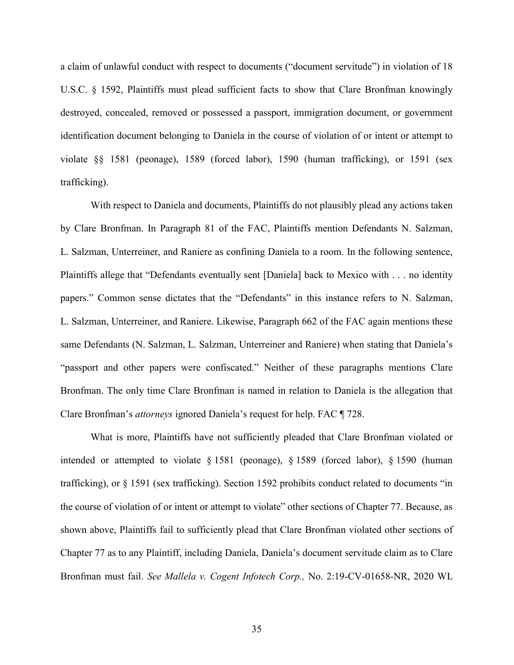a claim of unlawful conduct with respect to documents ("document servitude") in violation of 18 U.S.C. § 1592, Plaintiffs must plead sufficient facts to show that Clare Bronfman knowingly destroyed, concealed, removed or possessed a passport, immigration document, or government identification document belonging to Daniela in the course of violation of or intent or attempt to violate §§ 1581 (peonage), 1589 (forced labor), 1590 (human trafficking), or 1591 (sex trafficking).

With respect to Daniela and documents, Plaintiffs do not plausibly plead any actions taken by Clare Bronfman. In Paragraph 81 of the FAC, Plaintiffs mention Defendants N. Salzman, L. Salzman, Unterreiner, and Raniere as confining Daniela to a room. In the following sentence, Plaintiffs allege that "Defendants eventually sent [Daniela] back to Mexico with . . . no identity papers." Common sense dictates that the "Defendants" in this instance refers to N. Salzman, L. Salzman, Unterreiner, and Raniere. Likewise, Paragraph 662 of the FAC again mentions these same Defendants (N. Salzman, L. Salzman, Unterreiner and Raniere) when stating that Daniela's "passport and other papers were confiscated." Neither of these paragraphs mentions Clare Bronfman. The only time Clare Bronfman is named in relation to Daniela is the allegation that Clare Bronfman's attorneys ignored Daniela's request for help. FAC ¶ 728.

What is more, Plaintiffs have not sufficiently pleaded that Clare Bronfman violated or intended or attempted to violate § 1581 (peonage), § 1589 (forced labor), § 1590 (human trafficking), or § 1591 (sex trafficking). Section 1592 prohibits conduct related to documents "in the course of violation of or intent or attempt to violate" other sections of Chapter 77. Because, as shown above, Plaintiffs fail to sufficiently plead that Clare Bronfman violated other sections of Chapter 77 as to any Plaintiff, including Daniela, Daniela's document servitude claim as to Clare Bronfman must fail. See Mallela v. Cogent Infotech Corp., No. 2:19-CV-01658-NR, 2020 WL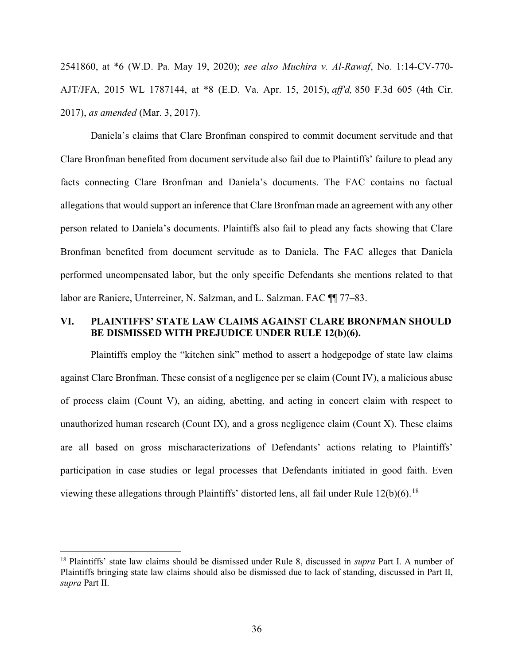2541860, at \*6 (W.D. Pa. May 19, 2020); see also Muchira v. Al-Rawaf, No. 1:14-CV-770- AJT/JFA, 2015 WL 1787144, at \*8 (E.D. Va. Apr. 15, 2015), aff'd, 850 F.3d 605 (4th Cir. 2017), as amended (Mar. 3, 2017).

Daniela's claims that Clare Bronfman conspired to commit document servitude and that Clare Bronfman benefited from document servitude also fail due to Plaintiffs' failure to plead any facts connecting Clare Bronfman and Daniela's documents. The FAC contains no factual allegations that would support an inference that Clare Bronfman made an agreement with any other person related to Daniela's documents. Plaintiffs also fail to plead any facts showing that Clare Bronfman benefited from document servitude as to Daniela. The FAC alleges that Daniela performed uncompensated labor, but the only specific Defendants she mentions related to that labor are Raniere, Unterreiner, N. Salzman, and L. Salzman. FAC ¶¶ 77–83.

### VI. PLAINTIFFS' STATE LAW CLAIMS AGAINST CLARE BRONFMAN SHOULD BE DISMISSED WITH PREJUDICE UNDER RULE 12(b)(6).

Plaintiffs employ the "kitchen sink" method to assert a hodgepodge of state law claims against Clare Bronfman. These consist of a negligence per se claim (Count IV), a malicious abuse of process claim (Count V), an aiding, abetting, and acting in concert claim with respect to unauthorized human research (Count IX), and a gross negligence claim (Count X). These claims are all based on gross mischaracterizations of Defendants' actions relating to Plaintiffs' participation in case studies or legal processes that Defendants initiated in good faith. Even viewing these allegations through Plaintiffs' distorted lens, all fail under Rule  $12(b)(6)$ .<sup>18</sup>

<sup>&</sup>lt;sup>18</sup> Plaintiffs' state law claims should be dismissed under Rule 8, discussed in *supra* Part I. A number of Plaintiffs bringing state law claims should also be dismissed due to lack of standing, discussed in Part II, supra Part II.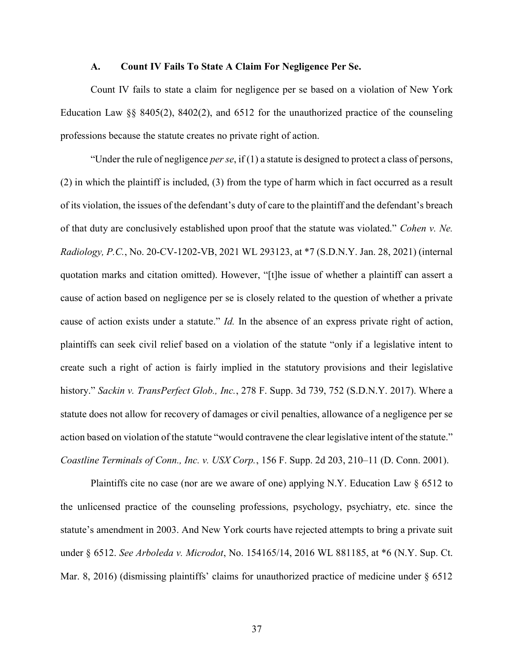#### A. Count IV Fails To State A Claim For Negligence Per Se.

Count IV fails to state a claim for negligence per se based on a violation of New York Education Law §§ 8405(2), 8402(2), and 6512 for the unauthorized practice of the counseling professions because the statute creates no private right of action.

"Under the rule of negligence *per se*, if  $(1)$  a statute is designed to protect a class of persons, (2) in which the plaintiff is included, (3) from the type of harm which in fact occurred as a result of its violation, the issues of the defendant's duty of care to the plaintiff and the defendant's breach of that duty are conclusively established upon proof that the statute was violated." Cohen v. Ne. Radiology, P.C., No. 20-CV-1202-VB, 2021 WL 293123, at \*7 (S.D.N.Y. Jan. 28, 2021) (internal quotation marks and citation omitted). However, "[t]he issue of whether a plaintiff can assert a cause of action based on negligence per se is closely related to the question of whether a private cause of action exists under a statute." Id. In the absence of an express private right of action, plaintiffs can seek civil relief based on a violation of the statute "only if a legislative intent to create such a right of action is fairly implied in the statutory provisions and their legislative history." Sackin v. TransPerfect Glob., Inc., 278 F. Supp. 3d 739, 752 (S.D.N.Y. 2017). Where a statute does not allow for recovery of damages or civil penalties, allowance of a negligence per se action based on violation of the statute "would contravene the clear legislative intent of the statute." Coastline Terminals of Conn., Inc. v. USX Corp., 156 F. Supp. 2d 203, 210–11 (D. Conn. 2001).

Plaintiffs cite no case (nor are we aware of one) applying N.Y. Education Law § 6512 to the unlicensed practice of the counseling professions, psychology, psychiatry, etc. since the statute's amendment in 2003. And New York courts have rejected attempts to bring a private suit under § 6512. See Arboleda v. Microdot, No. 154165/14, 2016 WL 881185, at \*6 (N.Y. Sup. Ct. Mar. 8, 2016) (dismissing plaintiffs' claims for unauthorized practice of medicine under § 6512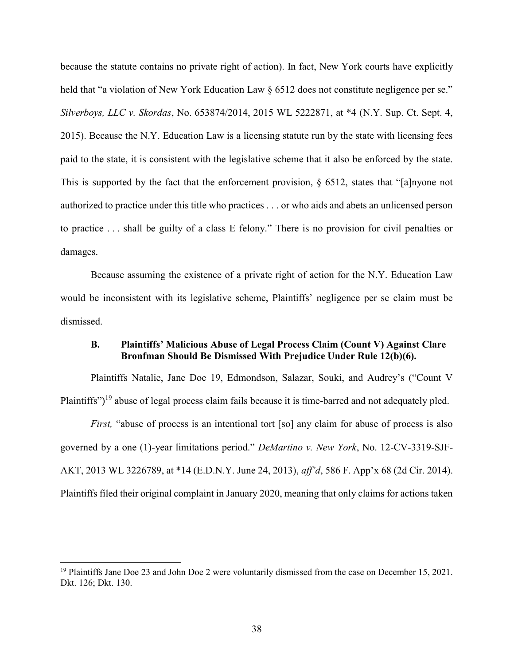because the statute contains no private right of action). In fact, New York courts have explicitly held that "a violation of New York Education Law § 6512 does not constitute negligence per se." Silverboys, LLC v. Skordas, No. 653874/2014, 2015 WL 5222871, at \*4 (N.Y. Sup. Ct. Sept. 4, 2015). Because the N.Y. Education Law is a licensing statute run by the state with licensing fees paid to the state, it is consistent with the legislative scheme that it also be enforced by the state. This is supported by the fact that the enforcement provision,  $\S$  6512, states that "[a]nyone not authorized to practice under this title who practices . . . or who aids and abets an unlicensed person to practice . . . shall be guilty of a class E felony." There is no provision for civil penalties or damages.

Because assuming the existence of a private right of action for the N.Y. Education Law would be inconsistent with its legislative scheme, Plaintiffs' negligence per se claim must be dismissed.

### B. Plaintiffs' Malicious Abuse of Legal Process Claim (Count V) Against Clare Bronfman Should Be Dismissed With Prejudice Under Rule 12(b)(6).

Plaintiffs Natalie, Jane Doe 19, Edmondson, Salazar, Souki, and Audrey's ("Count V Plaintiffs")<sup>19</sup> abuse of legal process claim fails because it is time-barred and not adequately pled.

First, "abuse of process is an intentional tort [so] any claim for abuse of process is also governed by a one (1)-year limitations period." DeMartino v. New York, No. 12-CV-3319-SJF-AKT, 2013 WL 3226789, at \*14 (E.D.N.Y. June 24, 2013), aff'd, 586 F. App'x 68 (2d Cir. 2014). Plaintiffs filed their original complaint in January 2020, meaning that only claims for actions taken

-

<sup>&</sup>lt;sup>19</sup> Plaintiffs Jane Doe 23 and John Doe 2 were voluntarily dismissed from the case on December 15, 2021. Dkt. 126; Dkt. 130.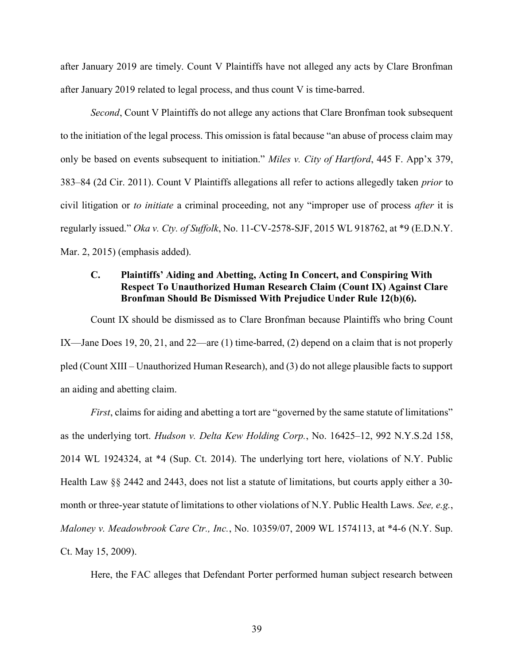after January 2019 are timely. Count V Plaintiffs have not alleged any acts by Clare Bronfman after January 2019 related to legal process, and thus count V is time-barred.

Second, Count V Plaintiffs do not allege any actions that Clare Bronfman took subsequent to the initiation of the legal process. This omission is fatal because "an abuse of process claim may only be based on events subsequent to initiation." Miles v. City of Hartford, 445 F. App'x 379, 383–84 (2d Cir. 2011). Count V Plaintiffs allegations all refer to actions allegedly taken prior to civil litigation or to *initiate* a criminal proceeding, not any "improper use of process *after* it is regularly issued." Oka v. Cty. of Suffolk, No. 11-CV-2578-SJF, 2015 WL 918762, at \*9 (E.D.N.Y. Mar. 2, 2015) (emphasis added).

## C. Plaintiffs' Aiding and Abetting, Acting In Concert, and Conspiring With Respect To Unauthorized Human Research Claim (Count IX) Against Clare Bronfman Should Be Dismissed With Prejudice Under Rule 12(b)(6).

Count IX should be dismissed as to Clare Bronfman because Plaintiffs who bring Count IX—Jane Does 19, 20, 21, and 22—are (1) time-barred, (2) depend on a claim that is not properly pled (Count XIII – Unauthorized Human Research), and (3) do not allege plausible facts to support an aiding and abetting claim.

First, claims for aiding and abetting a tort are "governed by the same statute of limitations" as the underlying tort. Hudson v. Delta Kew Holding Corp., No. 16425–12, 992 N.Y.S.2d 158, 2014 WL 1924324, at \*4 (Sup. Ct. 2014). The underlying tort here, violations of N.Y. Public Health Law §§ 2442 and 2443, does not list a statute of limitations, but courts apply either a 30 month or three-year statute of limitations to other violations of N.Y. Public Health Laws. See, e.g., Maloney v. Meadowbrook Care Ctr., Inc., No. 10359/07, 2009 WL 1574113, at \*4-6 (N.Y. Sup. Ct. May 15, 2009).

Here, the FAC alleges that Defendant Porter performed human subject research between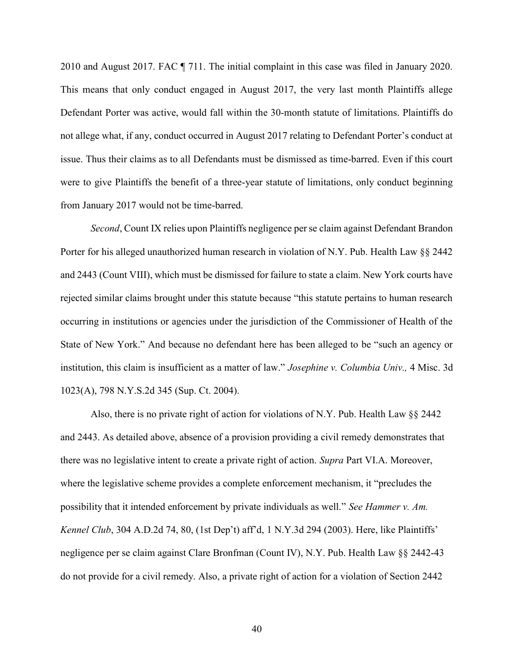2010 and August 2017. FAC ¶ 711. The initial complaint in this case was filed in January 2020. This means that only conduct engaged in August 2017, the very last month Plaintiffs allege Defendant Porter was active, would fall within the 30-month statute of limitations. Plaintiffs do not allege what, if any, conduct occurred in August 2017 relating to Defendant Porter's conduct at issue. Thus their claims as to all Defendants must be dismissed as time-barred. Even if this court were to give Plaintiffs the benefit of a three-year statute of limitations, only conduct beginning from January 2017 would not be time-barred.

Second, Count IX relies upon Plaintiffs negligence per se claim against Defendant Brandon Porter for his alleged unauthorized human research in violation of N.Y. Pub. Health Law §§ 2442 and 2443 (Count VIII), which must be dismissed for failure to state a claim. New York courts have rejected similar claims brought under this statute because "this statute pertains to human research occurring in institutions or agencies under the jurisdiction of the Commissioner of Health of the State of New York." And because no defendant here has been alleged to be "such an agency or institution, this claim is insufficient as a matter of law." Josephine v. Columbia Univ., 4 Misc. 3d 1023(A), 798 N.Y.S.2d 345 (Sup. Ct. 2004).

Also, there is no private right of action for violations of N.Y. Pub. Health Law §§ 2442 and 2443. As detailed above, absence of a provision providing a civil remedy demonstrates that there was no legislative intent to create a private right of action. Supra Part VI.A. Moreover, where the legislative scheme provides a complete enforcement mechanism, it "precludes the possibility that it intended enforcement by private individuals as well." See Hammer v. Am. Kennel Club, 304 A.D.2d 74, 80, (1st Dep't) aff'd, 1 N.Y.3d 294 (2003). Here, like Plaintiffs' negligence per se claim against Clare Bronfman (Count IV), N.Y. Pub. Health Law §§ 2442-43 do not provide for a civil remedy. Also, a private right of action for a violation of Section 2442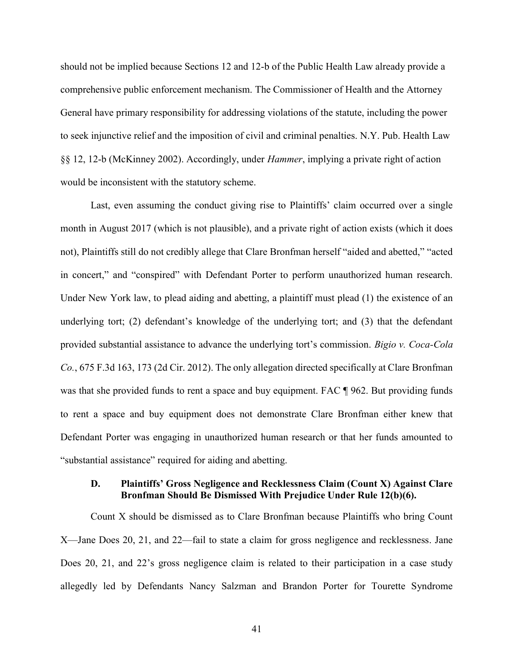should not be implied because Sections 12 and 12-b of the Public Health Law already provide a comprehensive public enforcement mechanism. The Commissioner of Health and the Attorney General have primary responsibility for addressing violations of the statute, including the power to seek injunctive relief and the imposition of civil and criminal penalties. N.Y. Pub. Health Law §§ 12, 12-b (McKinney 2002). Accordingly, under Hammer, implying a private right of action would be inconsistent with the statutory scheme.

Last, even assuming the conduct giving rise to Plaintiffs' claim occurred over a single month in August 2017 (which is not plausible), and a private right of action exists (which it does not), Plaintiffs still do not credibly allege that Clare Bronfman herself "aided and abetted," "acted in concert," and "conspired" with Defendant Porter to perform unauthorized human research. Under New York law, to plead aiding and abetting, a plaintiff must plead (1) the existence of an underlying tort; (2) defendant's knowledge of the underlying tort; and (3) that the defendant provided substantial assistance to advance the underlying tort's commission. Bigio v. Coca-Cola Co., 675 F.3d 163, 173 (2d Cir. 2012). The only allegation directed specifically at Clare Bronfman was that she provided funds to rent a space and buy equipment. FAC ¶ 962. But providing funds to rent a space and buy equipment does not demonstrate Clare Bronfman either knew that Defendant Porter was engaging in unauthorized human research or that her funds amounted to "substantial assistance" required for aiding and abetting.

### D. Plaintiffs' Gross Negligence and Recklessness Claim (Count X) Against Clare Bronfman Should Be Dismissed With Prejudice Under Rule 12(b)(6).

Count X should be dismissed as to Clare Bronfman because Plaintiffs who bring Count X—Jane Does 20, 21, and 22—fail to state a claim for gross negligence and recklessness. Jane Does 20, 21, and 22's gross negligence claim is related to their participation in a case study allegedly led by Defendants Nancy Salzman and Brandon Porter for Tourette Syndrome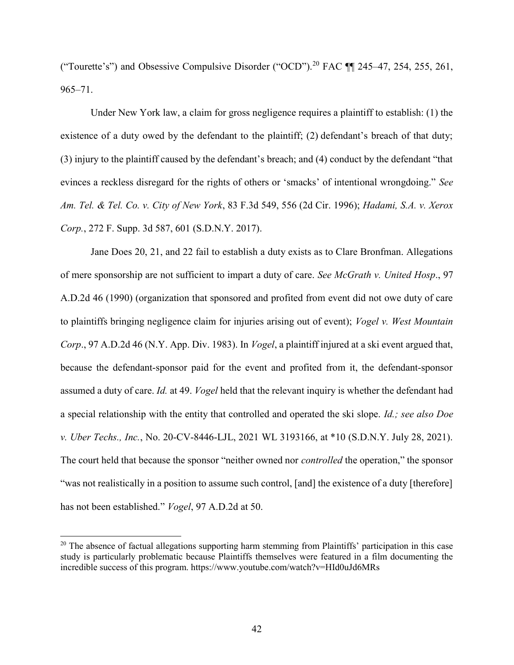("Tourette's") and Obsessive Compulsive Disorder ("OCD").<sup>20</sup> FAC ¶¶ 245–47, 254, 255, 261, 965–71.

Under New York law, a claim for gross negligence requires a plaintiff to establish: (1) the existence of a duty owed by the defendant to the plaintiff; (2) defendant's breach of that duty; (3) injury to the plaintiff caused by the defendant's breach; and (4) conduct by the defendant "that evinces a reckless disregard for the rights of others or 'smacks' of intentional wrongdoing." See Am. Tel. & Tel. Co. v. City of New York, 83 F.3d 549, 556 (2d Cir. 1996); Hadami, S.A. v. Xerox Corp., 272 F. Supp. 3d 587, 601 (S.D.N.Y. 2017).

Jane Does 20, 21, and 22 fail to establish a duty exists as to Clare Bronfman. Allegations of mere sponsorship are not sufficient to impart a duty of care. See McGrath v. United Hosp., 97 A.D.2d 46 (1990) (organization that sponsored and profited from event did not owe duty of care to plaintiffs bringing negligence claim for injuries arising out of event); Vogel v. West Mountain Corp., 97 A.D.2d 46 (N.Y. App. Div. 1983). In *Vogel*, a plaintiff injured at a ski event argued that, because the defendant-sponsor paid for the event and profited from it, the defendant-sponsor assumed a duty of care. Id. at 49. Vogel held that the relevant inquiry is whether the defendant had a special relationship with the entity that controlled and operated the ski slope. Id.; see also Doe v. Uber Techs., Inc., No. 20-CV-8446-LJL, 2021 WL 3193166, at \*10 (S.D.N.Y. July 28, 2021). The court held that because the sponsor "neither owned nor *controlled* the operation," the sponsor "was not realistically in a position to assume such control, [and] the existence of a duty [therefore] has not been established." *Vogel*, 97 A.D.2d at 50.

 $20$  The absence of factual allegations supporting harm stemming from Plaintiffs' participation in this case study is particularly problematic because Plaintiffs themselves were featured in a film documenting the incredible success of this program. https://www.youtube.com/watch?v=HId0uJd6MRs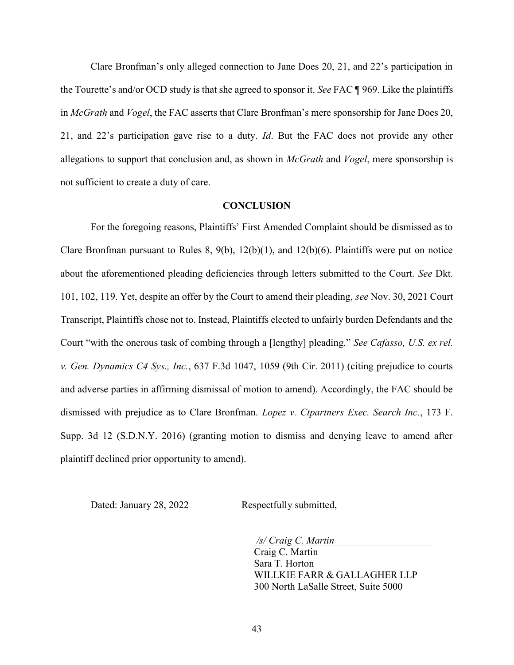Clare Bronfman's only alleged connection to Jane Does 20, 21, and 22's participation in the Tourette's and/or OCD study is that she agreed to sponsor it. See FAC ¶ 969. Like the plaintiffs in *McGrath* and *Vogel*, the FAC asserts that Clare Bronfman's mere sponsorship for Jane Does 20, 21, and 22's participation gave rise to a duty. Id. But the FAC does not provide any other allegations to support that conclusion and, as shown in *McGrath* and *Vogel*, mere sponsorship is not sufficient to create a duty of care.

#### **CONCLUSION**

For the foregoing reasons, Plaintiffs' First Amended Complaint should be dismissed as to Clare Bronfman pursuant to Rules 8,  $9(b)$ ,  $12(b)(1)$ , and  $12(b)(6)$ . Plaintiffs were put on notice about the aforementioned pleading deficiencies through letters submitted to the Court. See Dkt. 101, 102, 119. Yet, despite an offer by the Court to amend their pleading, see Nov. 30, 2021 Court Transcript, Plaintiffs chose not to. Instead, Plaintiffs elected to unfairly burden Defendants and the Court "with the onerous task of combing through a [lengthy] pleading." See Cafasso, U.S. ex rel. v. Gen. Dynamics C4 Sys., Inc., 637 F.3d 1047, 1059 (9th Cir. 2011) (citing prejudice to courts and adverse parties in affirming dismissal of motion to amend). Accordingly, the FAC should be dismissed with prejudice as to Clare Bronfman. Lopez v. Ctpartners Exec. Search Inc., 173 F. Supp. 3d 12 (S.D.N.Y. 2016) (granting motion to dismiss and denying leave to amend after plaintiff declined prior opportunity to amend).

Dated: January 28, 2022 Respectfully submitted,

/s/ Craig C. Martin Craig C. Martin Sara T. Horton WILLKIE FARR & GALLAGHER LLP

300 North LaSalle Street, Suite 5000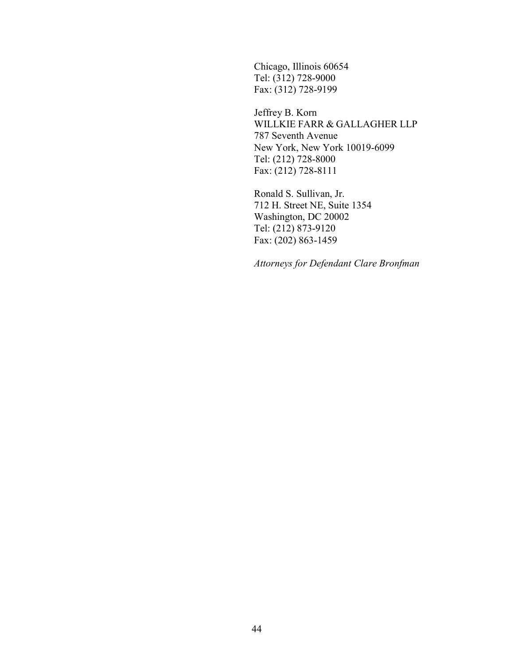Chicago, Illinois 60654 Tel: (312) 728-9000 Fax: (312) 728-9199

Jeffrey B. Korn WILLKIE FARR & GALLAGHER LLP 787 Seventh Avenue New York, New York 10019-6099 Tel: (212) 728-8000 Fax: (212) 728-8111

Ronald S. Sullivan, Jr. 712 H. Street NE, Suite 1354 Washington, DC 20002 Tel: (212) 873-9120 Fax: (202) 863-1459

Attorneys for Defendant Clare Bronfman